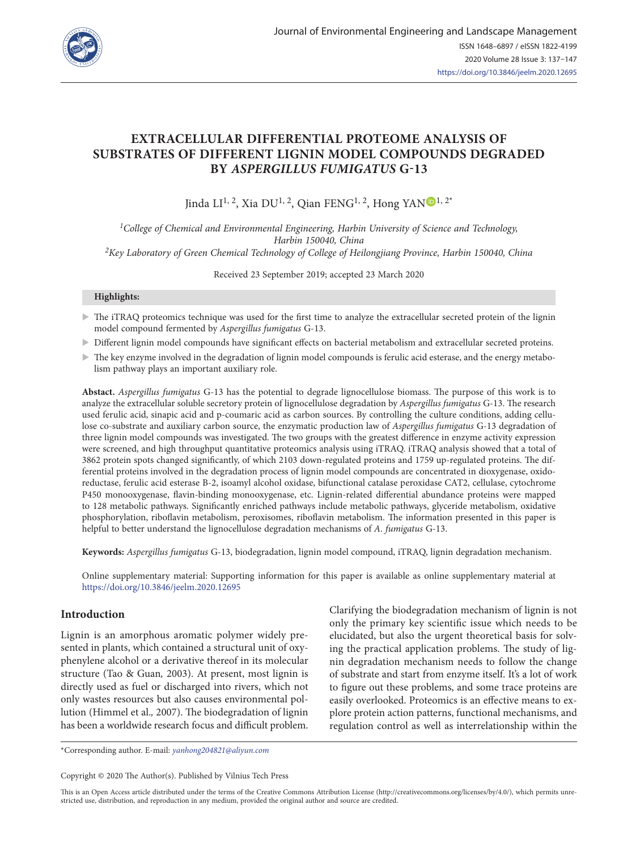

# **EXTRACELLULAR DIFFERENTIAL PROTEOME ANALYSIS OF SUBSTRATES OF DIFFERENT LIGNIN MODEL COMPOUNDS DEGRADED BY** *ASPERGILLUS FUMIGATUS* **G-13**

Jinda LI<sup>1, 2</sup>, Xia DU<sup>1, 2</sup>, Qian FE[N](https://orcid.org/0000-0002-9550-8311)G<sup>1, 2</sup>, Hong YAN<sup>D</sup><sup>1, 2\*</sup>

*1College of Chemical and Environmental Engineering, Harbin University of Science and Technology, Harbin 150040, China 2Key Laboratory of Green Chemical Technology of College of Heilongjiang Province, Harbin 150040, China*

Received 23 September 2019; accepted 23 March 2020

### **Highlights:**

- $\triangleright$  The iTRAQ proteomics technique was used for the first time to analyze the extracellular secreted protein of the lignin model compound fermented by *Aspergillus fumigatus* G-13.
- $\triangleright$  Different lignin model compounds have significant effects on bacterial metabolism and extracellular secreted proteins.
- $\triangleright$  The key enzyme involved in the degradation of lignin model compounds is ferulic acid esterase, and the energy metabolism pathway plays an important auxiliary role.

**Abstact.** *Aspergillus fumigatus* G-13 has the potential to degrade lignocellulose biomass. The purpose of this work is to analyze the extracellular soluble secretory protein of lignocellulose degradation by *Aspergillus fumigatus* G-13. The research used ferulic acid, sinapic acid and p-coumaric acid as carbon sources. By controlling the culture conditions, adding cellulose co-substrate and auxiliary carbon source, the enzymatic production law of *Aspergillus fumigatus* G-13 degradation of three lignin model compounds was investigated. The two groups with the greatest difference in enzyme activity expression were screened, and high throughput quantitative proteomics analysis using iTRAQ. iTRAQ analysis showed that a total of 3862 protein spots changed significantly, of which 2103 down-regulated proteins and 1759 up-regulated proteins. The differential proteins involved in the degradation process of lignin model compounds are concentrated in dioxygenase, oxidoreductase, ferulic acid esterase B-2, isoamyl alcohol oxidase, bifunctional catalase peroxidase CAT2, cellulase, cytochrome P450 monooxygenase, flavin-binding monooxygenase, etc. Lignin-related differential abundance proteins were mapped to 128 metabolic pathways. Significantly enriched pathways include metabolic pathways, glyceride metabolism, oxidative phosphorylation, riboflavin metabolism, peroxisomes, riboflavin metabolism. The information presented in this paper is helpful to better understand the lignocellulose degradation mechanisms of *A. fumigatus* G-13.

**Keywords:** *Aspergillus fumigatus* G-13, biodegradation, lignin model compound, iTRAQ, lignin degradation mechanism.

Online supplementary material: Supporting information for this paper is available as online supplementary material at <https://doi.org/10.3846/jeelm.2020.12695>

# **Introduction**

Lignin is an amorphous aromatic polymer widely presented in plants, which contained a structural unit of oxyphenylene alcohol or a derivative thereof in its molecular structure (Tao & Guan*,* 2003). At present, most lignin is directly used as fuel or discharged into rivers, which not only wastes resources but also causes environmental pollution (Himmel et al.*,* 2007). The biodegradation of lignin has been a worldwide research focus and difficult problem. Clarifying the biodegradation mechanism of lignin is not only the primary key scientific issue which needs to be elucidated, but also the urgent theoretical basis for solving the practical application problems. The study of lignin degradation mechanism needs to follow the change of substrate and start from enzyme itself. It's a lot of work to figure out these problems, and some trace proteins are easily overlooked. Proteomics is an effective means to explore protein action patterns, functional mechanisms, and regulation control as well as interrelationship within the

\*Corresponding author. E-mail: *[yanhong204821@aliyun.com](mailto:yanhong204821@aliyun.com)*

Copyright © 2020 The Author(s). Published by Vilnius Tech Press

This is an Open Access article distributed under the terms of the Creative Commons Attribution License (<http://creativecommons.org/licenses/by/4.0/>), which permits unrestricted use, distribution, and reproduction in any medium, provided the original author and source are credited.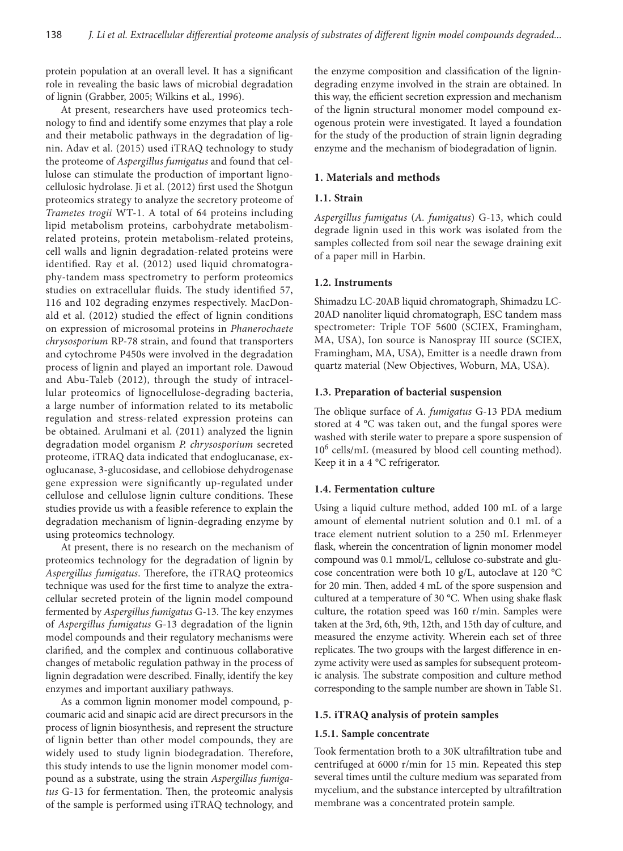protein population at an overall level. It has a significant role in revealing the basic laws of microbial degradation of lignin (Grabber, 2005; Wilkins et al.*,* 1996).

At present, researchers have used proteomics technology to find and identify some enzymes that play a role and their metabolic pathways in the degradation of lignin. Adav et al. (2015) used iTRAQ technology to study the proteome of *Aspergillus fumigatus* and found that cellulose can stimulate the production of important lignocellulosic hydrolase. Ji et al. (2012) first used the Shotgun proteomics strategy to analyze the secretory proteome of *Trametes trogii* WT-1. A total of 64 proteins including lipid metabolism proteins, carbohydrate metabolismrelated proteins, protein metabolism-related proteins, cell walls and lignin degradation-related proteins were identified. Ray et al. (2012) used liquid chromatography-tandem mass spectrometry to perform proteomics studies on extracellular fluids. The study identified 57, 116 and 102 degrading enzymes respectively. MacDonald et al. (2012) studied the effect of lignin conditions on expression of microsomal proteins in *Phanerochaete chrysosporium* RP-78 strain, and found that transporters and cytochrome P450s were involved in the degradation process of lignin and played an important role. Dawoud and Abu-Taleb (2012), through the study of intracellular proteomics of lignocellulose-degrading bacteria, a large number of information related to its metabolic regulation and stress-related expression proteins can be obtained. Arulmani et al. (2011) analyzed the lignin degradation model organism *P. chrysosporium* secreted proteome, iTRAQ data indicated that endoglucanase, exoglucanase, 3-glucosidase, and cellobiose dehydrogenase gene expression were significantly up-regulated under cellulose and cellulose lignin culture conditions. These studies provide us with a feasible reference to explain the degradation mechanism of lignin-degrading enzyme by using proteomics technology.

At present, there is no research on the mechanism of proteomics technology for the degradation of lignin by *Aspergillus fumigatus*. Therefore, the iTRAQ proteomics technique was used for the first time to analyze the extracellular secreted protein of the lignin model compound fermented by *Aspergillus fumigatus* G-13. The key enzymes of *Aspergillus fumigatus* G-13 degradation of the lignin model compounds and their regulatory mechanisms were clarified, and the complex and continuous collaborative changes of metabolic regulation pathway in the process of lignin degradation were described. Finally, identify the key enzymes and important auxiliary pathways.

As a common lignin monomer model compound, pcoumaric acid and sinapic acid are direct precursors in the process of lignin biosynthesis, and represent the structure of lignin better than other model compounds, they are widely used to study lignin biodegradation. Therefore, this study intends to use the lignin monomer model compound as a substrate, using the strain *Aspergillus fumigatus* G-13 for fermentation. Then, the proteomic analysis of the sample is performed using iTRAQ technology, and

the enzyme composition and classification of the lignindegrading enzyme involved in the strain are obtained. In this way, the efficient secretion expression and mechanism of the lignin structural monomer model compound exogenous protein were investigated. It layed a foundation for the study of the production of strain lignin degrading enzyme and the mechanism of biodegradation of lignin.

### **1. Materials and methods**

#### **1.1. Strain**

*Aspergillus fumigatus* (*A. fumigatus*) G-13, which could degrade lignin used in this work was isolated from the samples collected from soil near the sewage draining exit of a paper mill in Harbin.

#### **1.2. Instruments**

Shimadzu LC-20AB liquid chromatograph, Shimadzu LC-20AD nanoliter liquid chromatograph, ESC tandem mass spectrometer: Triple TOF 5600 (SCIEX, Framingham, MA, USA), Ion source is Nanospray III source (SCIEX, Framingham, MA, USA), Emitter is a needle drawn from quartz material (New Objectives, Woburn, MA, USA).

### **1.3. Preparation of bacterial suspension**

The oblique surface of *A. fumigatus* G-13 PDA medium stored at 4 °C was taken out, and the fungal spores were washed with sterile water to prepare a spore suspension of 106 cells/mL (measured by blood cell counting method). Keep it in a 4 °C refrigerator.

#### **1.4. Fermentation culture**

Using a liquid culture method, added 100 mL of a large amount of elemental nutrient solution and 0.1 mL of a trace element nutrient solution to a 250 mL Erlenmeyer flask, wherein the concentration of lignin monomer model compound was 0.1 mmol/L, cellulose co-substrate and glucose concentration were both 10 g/L, autoclave at 120 °C for 20 min. Then, added 4 mL of the spore suspension and cultured at a temperature of 30 °C. When using shake flask culture, the rotation speed was 160 r/min. Samples were taken at the 3rd, 6th, 9th, 12th, and 15th day of culture, and measured the enzyme activity. Wherein each set of three replicates. The two groups with the largest difference in enzyme activity were used as samples for subsequent proteomic analysis. The substrate composition and culture method corresponding to the sample number are shown in Table S1.

#### **1.5. iTRAQ analysis of protein samples**

#### **1.5.1. Sample concentrate**

Took fermentation broth to a 30K ultrafiltration tube and centrifuged at 6000 r/min for 15 min. Repeated this step several times until the culture medium was separated from mycelium, and the substance intercepted by ultrafiltration membrane was a concentrated protein sample.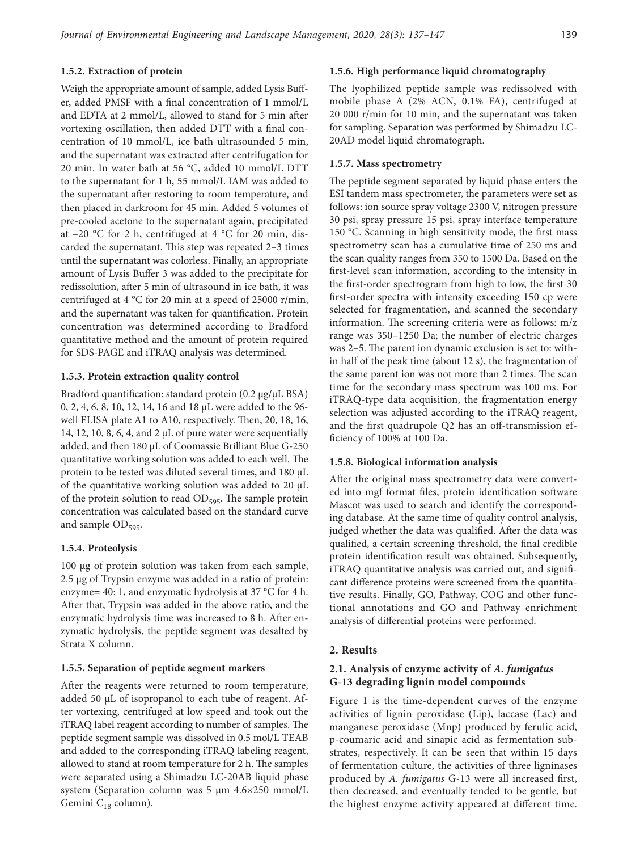### **1.5.2. Extraction of protein**

Weigh the appropriate amount of sample, added Lysis Buffer, added PMSF with a final concentration of 1 mmol/L and EDTA at 2 mmol/L, allowed to stand for 5 min after vortexing oscillation, then added DTT with a final concentration of 10 mmol/L, ice bath ultrasounded 5 min, and the supernatant was extracted after centrifugation for 20 min. In water bath at 56 °C, added 10 mmol/L DTT to the supernatant for 1 h, 55 mmol/L IAM was added to the supernatant after restoring to room temperature, and then placed in darkroom for 45 min. Added 5 volumes of pre-cooled acetone to the supernatant again, precipitated at  $-20$  °C for 2 h, centrifuged at 4 °C for 20 min, discarded the supernatant. This step was repeated 2–3 times until the supernatant was colorless. Finally, an appropriate amount of Lysis Buffer 3 was added to the precipitate for redissolution, after 5 min of ultrasound in ice bath, it was centrifuged at 4 °C for 20 min at a speed of 25000 r/min, and the supernatant was taken for quantification. Protein concentration was determined according to Bradford quantitative method and the amount of protein required for SDS-PAGE and iTRAQ analysis was determined.

#### **1.5.3. Protein extraction quality control**

Bradford quantification: standard protein (0.2 μg/μL BSA) 0, 2, 4, 6, 8, 10, 12, 14, 16 and 18 μL were added to the 96 well ELISA plate A1 to A10, respectively. Then, 20, 18, 16, 14, 12, 10, 8, 6, 4, and 2 μL of pure water were sequentially added, and then 180 μL of Coomassie Brilliant Blue G-250 quantitative working solution was added to each well. The protein to be tested was diluted several times, and 180 μL of the quantitative working solution was added to 20 μL of the protein solution to read OD<sub>595</sub>. The sample protein concentration was calculated based on the standard curve and sample OD<sub>595</sub>.

### **1.5.4. Proteolysis**

100 μg of protein solution was taken from each sample, 2.5 μg of Trypsin enzyme was added in a ratio of protein: enzyme= 40: 1, and enzymatic hydrolysis at 37 °C for 4 h. After that, Trypsin was added in the above ratio, and the enzymatic hydrolysis time was increased to 8 h. After enzymatic hydrolysis, the peptide segment was desalted by Strata X column.

### **1.5.5. Separation of peptide segment markers**

After the reagents were returned to room temperature, added 50 μL of isopropanol to each tube of reagent. After vortexing, centrifuged at low speed and took out the iTRAQ label reagent according to number of samples. The peptide segment sample was dissolved in 0.5 mol/L TEAB and added to the corresponding iTRAQ labeling reagent, allowed to stand at room temperature for 2 h. The samples were separated using a Shimadzu LC-20AB liquid phase system (Separation column was 5 μm 4.6×250 mmol/L Gemini  $C_{18}$  column).

### **1.5.6. High performance liquid chromatography**

The lyophilized peptide sample was redissolved with mobile phase A (2% ACN, 0.1% FA), centrifuged at 20 000 r/min for 10 min, and the supernatant was taken for sampling. Separation was performed by Shimadzu LC-20AD model liquid chromatograph.

#### **1.5.7. Mass spectrometry**

The peptide segment separated by liquid phase enters the ESI tandem mass spectrometer, the parameters were set as follows: ion source spray voltage 2300 V, nitrogen pressure 30 psi, spray pressure 15 psi, spray interface temperature 150 °C. Scanning in high sensitivity mode, the first mass spectrometry scan has a cumulative time of 250 ms and the scan quality ranges from 350 to 1500 Da. Based on the first-level scan information, according to the intensity in the first-order spectrogram from high to low, the first 30 first-order spectra with intensity exceeding 150 cp were selected for fragmentation, and scanned the secondary information. The screening criteria were as follows: m/z range was 350–1250 Da; the number of electric charges was 2–5. The parent ion dynamic exclusion is set to: within half of the peak time (about 12 s), the fragmentation of the same parent ion was not more than 2 times. The scan time for the secondary mass spectrum was 100 ms. For iTRAQ-type data acquisition, the fragmentation energy selection was adjusted according to the iTRAQ reagent, and the first quadrupole Q2 has an off-transmission efficiency of 100% at 100 Da.

#### **1.5.8. Biological information analysis**

After the original mass spectrometry data were converted into mgf format files, protein identification software Mascot was used to search and identify the corresponding database. At the same time of quality control analysis, judged whether the data was qualified. After the data was qualified, a certain screening threshold, the final credible protein identification result was obtained. Subsequently, iTRAQ quantitative analysis was carried out, and significant difference proteins were screened from the quantitative results. Finally, GO, Pathway, COG and other functional annotations and GO and Pathway enrichment analysis of differential proteins were performed.

### **2. Results**

# **2.1. Analysis of enzyme activity of** *A. fumigatus* **G-13 degrading lignin model compounds**

Figure 1 is the time-dependent curves of the enzyme activities of lignin peroxidase (Lip), laccase (Lac) and manganese peroxidase (Mnp) produced by ferulic acid, p-coumaric acid and sinapic acid as fermentation substrates, respectively. It can be seen that within 15 days of fermentation culture, the activities of three ligninases produced by *A. fumigatus* G-13 were all increased first, then decreased, and eventually tended to be gentle, but the highest enzyme activity appeared at different time.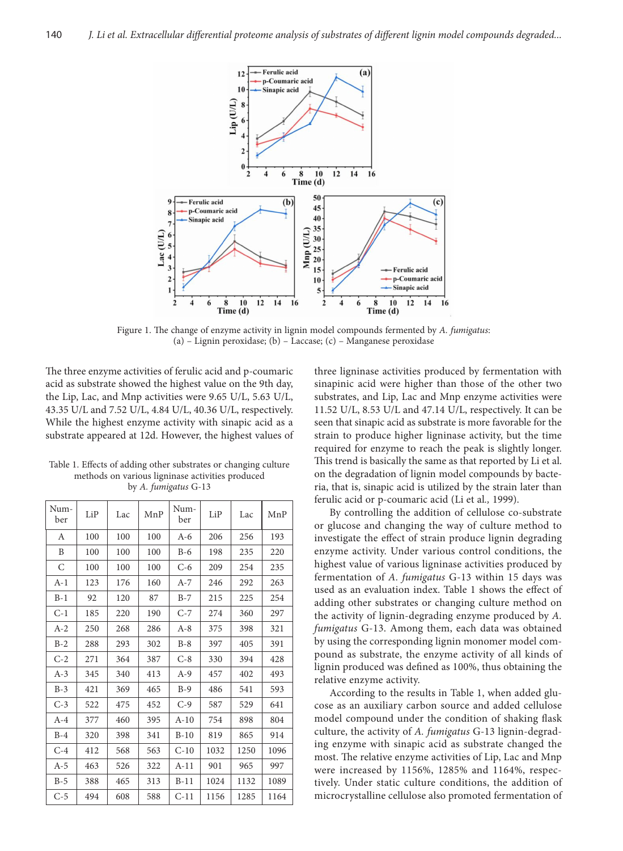

Figure 1. The change of enzyme activity in lignin model compounds fermented by *A. fumigatus*: (a) – Lignin peroxidase; (b) – Laccase; (c) – Manganese peroxidase

The three enzyme activities of ferulic acid and p-coumaric acid as substrate showed the highest value on the 9th day, the Lip, Lac, and Mnp activities were 9.65 U/L, 5.63 U/L, 43.35 U/L and 7.52 U/L, 4.84 U/L, 40.36 U/L, respectively. While the highest enzyme activity with sinapic acid as a substrate appeared at 12d. However, the highest values of

Table 1. Effects of adding other substrates or changing culture methods on various ligninase activities produced by *A. fumigatus* G-13

| Num-<br>ber | LiP | Lac | MnP | Num-<br>ber | LiP  | Lac  | MnP  |
|-------------|-----|-----|-----|-------------|------|------|------|
| А           | 100 | 100 | 100 | $A-6$       | 206  | 256  | 193  |
| B           | 100 | 100 | 100 | $B-6$       | 198  | 235  | 220  |
| C           | 100 | 100 | 100 | $C-6$       | 209  | 254  | 235  |
| $A-1$       | 123 | 176 | 160 | $A-7$       | 246  | 292  | 263  |
| $B-1$       | 92  | 120 | 87  | $B-7$       | 215  | 225  | 254  |
| $C-1$       | 185 | 220 | 190 | $C-7$       | 274  | 360  | 297  |
| $A-2$       | 250 | 268 | 286 | $A-8$       | 375  | 398  | 321  |
| $B-2$       | 288 | 293 | 302 | $B-8$       | 397  | 405  | 391  |
| $C-2$       | 271 | 364 | 387 | $C-8$       | 330  | 394  | 428  |
| $A-3$       | 345 | 340 | 413 | $A-9$       | 457  | 402  | 493  |
| $B-3$       | 421 | 369 | 465 | $B-9$       | 486  | 541  | 593  |
| $C-3$       | 522 | 475 | 452 | $C-9$       | 587  | 529  | 641  |
| $A-4$       | 377 | 460 | 395 | $A-10$      | 754  | 898  | 804  |
| $B-4$       | 320 | 398 | 341 | $B-10$      | 819  | 865  | 914  |
| $C-4$       | 412 | 568 | 563 | $C-10$      | 1032 | 1250 | 1096 |
| A-5         | 463 | 526 | 322 | $A-11$      | 901  | 965  | 997  |
| $B-5$       | 388 | 465 | 313 | $B-11$      | 1024 | 1132 | 1089 |
| $C-5$       | 494 | 608 | 588 | $C-11$      | 1156 | 1285 | 1164 |

three ligninase activities produced by fermentation with sinapinic acid were higher than those of the other two substrates, and Lip, Lac and Mnp enzyme activities were 11.52 U/L, 8.53 U/L and 47.14 U/L, respectively. It can be seen that sinapic acid as substrate is more favorable for the strain to produce higher ligninase activity, but the time required for enzyme to reach the peak is slightly longer. This trend is basically the same as that reported by Li et al. on the degradation of lignin model compounds by bacteria, that is, sinapic acid is utilized by the strain later than ferulic acid or p-coumaric acid (Li et al*.,* 1999).

By controlling the addition of cellulose co-substrate or glucose and changing the way of culture method to investigate the effect of strain produce lignin degrading enzyme activity. Under various control conditions, the highest value of various ligninase activities produced by fermentation of *A. fumigatus* G-13 within 15 days was used as an evaluation index. Table 1 shows the effect of adding other substrates or changing culture method on the activity of lignin-degrading enzyme produced by *A. fumigatus* G-13. Among them, each data was obtained by using the corresponding lignin monomer model compound as substrate, the enzyme activity of all kinds of lignin produced was defined as 100%, thus obtaining the relative enzyme activity.

According to the results in Table 1, when added glucose as an auxiliary carbon source and added cellulose model compound under the condition of shaking flask culture, the activity of *A. fumigatus* G-13 lignin-degrading enzyme with sinapic acid as substrate changed the most. The relative enzyme activities of Lip, Lac and Mnp were increased by 1156%, 1285% and 1164%, respectively. Under static culture conditions, the addition of microcrystalline cellulose also promoted fermentation of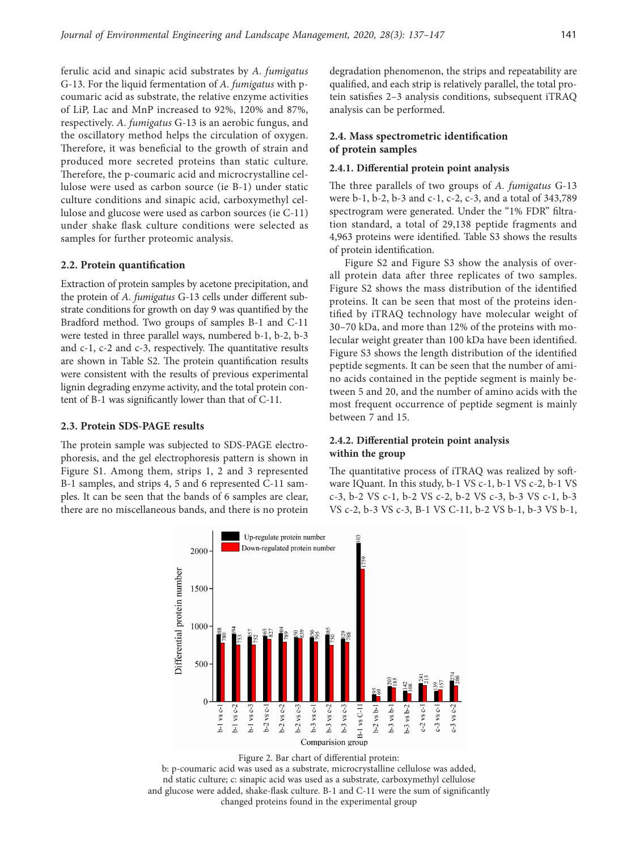ferulic acid and sinapic acid substrates by *A. fumigatus* G-13. For the liquid fermentation of *A. fumigatus* with pcoumaric acid as substrate, the relative enzyme activities of LiP, Lac and MnP increased to 92%, 120% and 87%, respectively. *A. fumigatus* G-13 is an aerobic fungus, and the oscillatory method helps the circulation of oxygen. Therefore, it was beneficial to the growth of strain and produced more secreted proteins than static culture. Therefore, the p-coumaric acid and microcrystalline cellulose were used as carbon source (ie B-1) under static culture conditions and sinapic acid, carboxymethyl cellulose and glucose were used as carbon sources (ie C-11) under shake flask culture conditions were selected as samples for further proteomic analysis.

#### **2.2. Protein quantification**

Extraction of protein samples by acetone precipitation, and the protein of *A. fumigatus* G-13 cells under different substrate conditions for growth on day 9 was quantified by the Bradford method. Two groups of samples B-1 and C-11 were tested in three parallel ways, numbered b-1, b-2, b-3 and c-1, c-2 and c-3, respectively. The quantitative results are shown in Table S2. The protein quantification results were consistent with the results of previous experimental lignin degrading enzyme activity, and the total protein content of B-1 was significantly lower than that of C-11.

#### **2.3. Protein SDS-PAGE results**

The protein sample was subjected to SDS-PAGE electrophoresis, and the gel electrophoresis pattern is shown in Figure S1. Among them, strips 1, 2 and 3 represented B-1 samples, and strips 4, 5 and 6 represented C-11 samples. It can be seen that the bands of 6 samples are clear, there are no miscellaneous bands, and there is no protein degradation phenomenon, the strips and repeatability are qualified, and each strip is relatively parallel, the total protein satisfies 2–3 analysis conditions, subsequent iTRAQ analysis can be performed.

### **2.4. Mass spectrometric identification of protein samples**

#### **2.4.1. Differential protein point analysis**

The three parallels of two groups of *A. fumigatus* G-13 were b-1, b-2, b-3 and c-1, c-2, c-3, and a total of 343,789 spectrogram were generated. Under the "1% FDR" filtration standard, a total of 29,138 peptide fragments and 4,963 proteins were identified. Table S3 shows the results of protein identification.

Figure S2 and Figure S3 show the analysis of overall protein data after three replicates of two samples. Figure S2 shows the mass distribution of the identified proteins. It can be seen that most of the proteins identified by iTRAQ technology have molecular weight of 30–70 kDa, and more than 12% of the proteins with molecular weight greater than 100 kDa have been identified. Figure S3 shows the length distribution of the identified peptide segments. It can be seen that the number of amino acids contained in the peptide segment is mainly between 5 and 20, and the number of amino acids with the most frequent occurrence of peptide segment is mainly between 7 and 15.

### **2.4.2. Differential protein point analysis within the group**

The quantitative process of iTRAQ was realized by software IQuant. In this study, b-1 VS c-1, b-1 VS c-2, b-1 VS c-3, b-2 VS c-1, b-2 VS c-2, b-2 VS c-3, b-3 VS c-1, b-3 VS c-2, b-3 VS c-3, B-1 VS C-11, b-2 VS b-1, b-3 VS b-1,





b: p-coumaric acid was used as a substrate, microcrystalline cellulose was added, nd static culture; c: sinapic acid was used as a substrate, carboxymethyl cellulose and glucose were added, shake-flask culture. B-1 and C-11 were the sum of significantly changed proteins found in the experimental group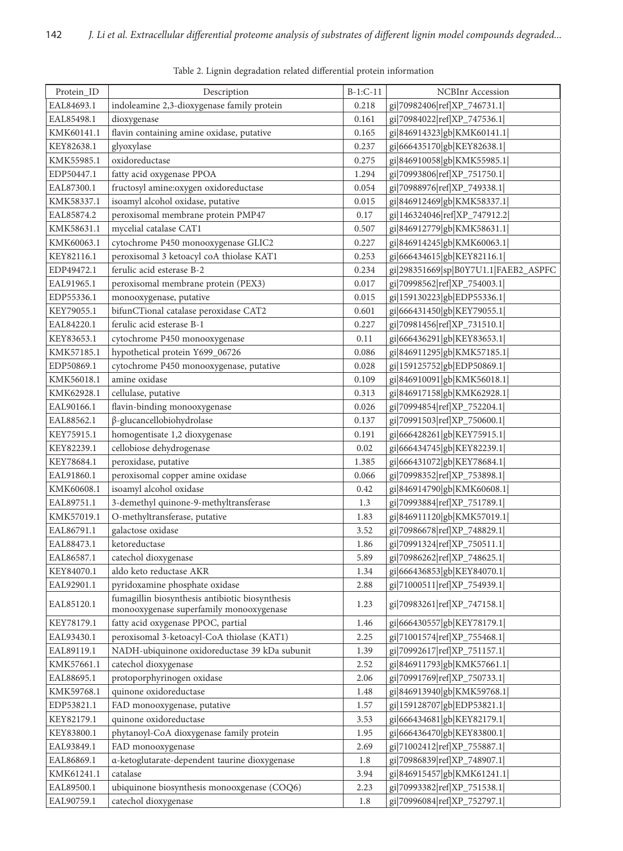| NCBInr Accession<br>indoleamine 2,3-dioxygenase family protein<br>gi 70982406 ref XP_746731.1 <br>EAL84693.1<br>0.218<br>gi 70984022 ref XP_747536.1 <br>EAL85498.1<br>dioxygenase<br>0.161<br>flavin containing amine oxidase, putative<br>0.165<br>gi 846914323 gb KMK60141.1 <br>KMK60141.1<br>gi 666435170 gb KEY82638.1 <br>KEY82638.1<br>glyoxylase<br>0.237<br>oxidoreductase<br>0.275<br>gi 846910058 gb KMK55985.1 <br>KMK55985.1<br>gi 70993806 ref XP_751750.1 <br>fatty acid oxygenase PPOA<br>1.294<br>EDP50447.1<br>fructosyl amine: oxygen oxidoreductase<br>0.054<br>gi 70988976 ref XP_749338.1 <br>EAL87300.1<br>isoamyl alcohol oxidase, putative<br>gi 846912469 gb KMK58337.1 <br>KMK58337.1<br>0.015<br>peroxisomal membrane protein PMP47<br>gi 146324046 ref XP_747912.2 <br>EAL85874.2<br>0.17<br>mycelial catalase CAT1<br>gi 846912779 gb KMK58631.1 <br>0.507<br>KMK58631.1<br>gi 846914245 gb KMK60063.1 <br>cytochrome P450 monooxygenase GLIC2<br>0.227<br>KMK60063.1<br>gi 666434615 gb KEY82116.1 <br>KEY82116.1<br>peroxisomal 3 ketoacyl coA thiolase KAT1<br>0.253<br>ferulic acid esterase B-2<br>gi 298351669 sp B0Y7U1.1 FAEB2_ASPFC<br>0.234<br>EDP49472.1<br>gi 70998562 ref XP_754003.1 <br>peroxisomal membrane protein (PEX3)<br>0.017<br>EAL91965.1<br>monooxygenase, putative<br>0.015<br>gi 159130223 gb EDP55336.1 <br>EDP55336.1<br>bifunCTional catalase peroxidase CAT2<br>gi 666431450 gb KEY79055.1 <br>KEY79055.1<br>0.601<br>gi 70981456 ref XP_731510.1 <br>ferulic acid esterase B-1<br>EAL84220.1<br>0.227<br>gi 666436291 gb KEY83653.1 <br>KEY83653.1<br>cytochrome P450 monooxygenase<br>0.11<br>hypothetical protein Y699_06726<br>0.086<br>gi 846911295 gb KMK57185.1 <br>KMK57185.1<br>cytochrome P450 monooxygenase, putative<br>gi 159125752 gb EDP50869.1 <br>EDP50869.1<br>0.028<br>amine oxidase<br>gi 846910091 gb KMK56018.1 <br>KMK56018.1<br>0.109<br>gi 846917158 gb KMK62928.1 <br>cellulase, putative<br>0.313<br>KMK62928.1<br>EAL90166.1<br>flavin-binding monooxygenase<br>0.026<br>gi 70994854 ref XP_752204.1 <br>$\beta$ -glucancellobiohydrolase<br>gi 70991503 ref XP_750600.1 <br>EAL88562.1<br>0.137<br>homogentisate 1,2 dioxygenase<br>0.191<br>gi 666428261 gb KEY75915.1 <br>KEY75915.1<br>cellobiose dehydrogenase<br>0.02<br>gi 666434745 gb KEY82239.1 <br>KEY82239.1<br>peroxidase, putative<br>gi 666431072 gb KEY78684.1 <br>1.385<br>KEY78684.1<br>peroxisomal copper amine oxidase<br>gi 70998352 ref XP_753898.1 <br>EAL91860.1<br>0.066<br>isoamyl alcohol oxidase<br>gi 846914790 gb KMK60608.1 <br>KMK60608.1<br>0.42<br>3-demethyl quinone-9-methyltransferase<br>gi 70993884 ref XP_751789.1 <br>1.3<br>EAL89751.1<br>O-methyltransferase, putative<br>gi 846911120 gb KMK57019.1 <br>KMK57019.1<br>1.83<br>galactose oxidase<br>3.52<br>gi 70986678 ref XP_748829.1 <br>EAL86791.1<br>gi 70991324 ref XP_750511.1 <br>EAL88473.1<br>ketoreductase<br>1.86<br>5.89<br>gi 70986262 ref XP_748625.1 <br>EAL86587.1<br>catechol dioxygenase<br>gi 666436853 gb KEY84070.1 <br>KEY84070.1<br>aldo keto reductase AKR<br>1.34<br>gi 71000511 ref XP_754939.1 <br>pyridoxamine phosphate oxidase<br>EAL92901.1<br>2.88<br>fumagillin biosynthesis antibiotic biosynthesis<br>gi 70983261 ref XP_747158.1 <br>EAL85120.1<br>1.23<br>monooxygenase superfamily monooxygenase<br>fatty acid oxygenase PPOC, partial<br>gi 666430557 gb KEY78179.1 <br>KEY78179.1<br>1.46<br>peroxisomal 3-ketoacyl-CoA thiolase (KAT1)<br>gi 71001574 ref XP_755468.1 <br>EAL93430.1<br>2.25<br>NADH-ubiquinone oxidoreductase 39 kDa subunit<br>gi 70992617 ref XP_751157.1 <br>EAL89119.1<br>1.39<br>catechol dioxygenase<br>gi 846911793 gb KMK57661.1 <br>KMK57661.1<br>2.52<br>protoporphyrinogen oxidase<br>gi 70991769 ref XP_750733.1 <br>EAL88695.1<br>2.06<br>quinone oxidoreductase<br>gi 846913940 gb KMK59768.1 <br>KMK59768.1<br>1.48<br>gi 159128707 gb EDP53821.1 <br>FAD monooxygenase, putative<br>1.57<br>EDP53821.1<br>quinone oxidoreductase<br>gi 666434681 gb KEY82179.1 <br>KEY82179.1<br>3.53<br>gi 666436470 gb KEY83800.1 <br>phytanoyl-CoA dioxygenase family protein<br>KEY83800.1<br>1.95<br>gi 71002412 ref XP_755887.1 <br>EAL93849.1<br>FAD monooxygenase<br>2.69<br>a-ketoglutarate-dependent taurine dioxygenase<br>gi 70986839 ref XP_748907.1 <br>EAL86869.1<br>1.8<br>catalase<br>gi 846915457 gb KMK61241.1 <br>KMK61241.1<br>3.94<br>gi 70993382 ref XP_751538.1 <br>EAL89500.1<br>ubiquinone biosynthesis monooxgenase (COQ6)<br>2.23 |            |                      |            |                             |
|---------------------------------------------------------------------------------------------------------------------------------------------------------------------------------------------------------------------------------------------------------------------------------------------------------------------------------------------------------------------------------------------------------------------------------------------------------------------------------------------------------------------------------------------------------------------------------------------------------------------------------------------------------------------------------------------------------------------------------------------------------------------------------------------------------------------------------------------------------------------------------------------------------------------------------------------------------------------------------------------------------------------------------------------------------------------------------------------------------------------------------------------------------------------------------------------------------------------------------------------------------------------------------------------------------------------------------------------------------------------------------------------------------------------------------------------------------------------------------------------------------------------------------------------------------------------------------------------------------------------------------------------------------------------------------------------------------------------------------------------------------------------------------------------------------------------------------------------------------------------------------------------------------------------------------------------------------------------------------------------------------------------------------------------------------------------------------------------------------------------------------------------------------------------------------------------------------------------------------------------------------------------------------------------------------------------------------------------------------------------------------------------------------------------------------------------------------------------------------------------------------------------------------------------------------------------------------------------------------------------------------------------------------------------------------------------------------------------------------------------------------------------------------------------------------------------------------------------------------------------------------------------------------------------------------------------------------------------------------------------------------------------------------------------------------------------------------------------------------------------------------------------------------------------------------------------------------------------------------------------------------------------------------------------------------------------------------------------------------------------------------------------------------------------------------------------------------------------------------------------------------------------------------------------------------------------------------------------------------------------------------------------------------------------------------------------------------------------------------------------------------------------------------------------------------------------------------------------------------------------------------------------------------------------------------------------------------------------------------------------------------------------------------------------------------------------------------------------------------------------------------------------------------------------------------------------------------------------------------------------------------------------------------------------------------------------------------------------------------------------------------------------------------------------------------------------------------------------------------------------------------------------------------------------------------------|------------|----------------------|------------|-----------------------------|
|                                                                                                                                                                                                                                                                                                                                                                                                                                                                                                                                                                                                                                                                                                                                                                                                                                                                                                                                                                                                                                                                                                                                                                                                                                                                                                                                                                                                                                                                                                                                                                                                                                                                                                                                                                                                                                                                                                                                                                                                                                                                                                                                                                                                                                                                                                                                                                                                                                                                                                                                                                                                                                                                                                                                                                                                                                                                                                                                                                                                                                                                                                                                                                                                                                                                                                                                                                                                                                                                                                                                                                                                                                                                                                                                                                                                                                                                                                                                                                                                                                                                                                                                                                                                                                                                                                                                                                                                                                                                                                                                                               | Protein_ID | Description          | $B-1:C-11$ |                             |
|                                                                                                                                                                                                                                                                                                                                                                                                                                                                                                                                                                                                                                                                                                                                                                                                                                                                                                                                                                                                                                                                                                                                                                                                                                                                                                                                                                                                                                                                                                                                                                                                                                                                                                                                                                                                                                                                                                                                                                                                                                                                                                                                                                                                                                                                                                                                                                                                                                                                                                                                                                                                                                                                                                                                                                                                                                                                                                                                                                                                                                                                                                                                                                                                                                                                                                                                                                                                                                                                                                                                                                                                                                                                                                                                                                                                                                                                                                                                                                                                                                                                                                                                                                                                                                                                                                                                                                                                                                                                                                                                                               |            |                      |            |                             |
|                                                                                                                                                                                                                                                                                                                                                                                                                                                                                                                                                                                                                                                                                                                                                                                                                                                                                                                                                                                                                                                                                                                                                                                                                                                                                                                                                                                                                                                                                                                                                                                                                                                                                                                                                                                                                                                                                                                                                                                                                                                                                                                                                                                                                                                                                                                                                                                                                                                                                                                                                                                                                                                                                                                                                                                                                                                                                                                                                                                                                                                                                                                                                                                                                                                                                                                                                                                                                                                                                                                                                                                                                                                                                                                                                                                                                                                                                                                                                                                                                                                                                                                                                                                                                                                                                                                                                                                                                                                                                                                                                               |            |                      |            |                             |
|                                                                                                                                                                                                                                                                                                                                                                                                                                                                                                                                                                                                                                                                                                                                                                                                                                                                                                                                                                                                                                                                                                                                                                                                                                                                                                                                                                                                                                                                                                                                                                                                                                                                                                                                                                                                                                                                                                                                                                                                                                                                                                                                                                                                                                                                                                                                                                                                                                                                                                                                                                                                                                                                                                                                                                                                                                                                                                                                                                                                                                                                                                                                                                                                                                                                                                                                                                                                                                                                                                                                                                                                                                                                                                                                                                                                                                                                                                                                                                                                                                                                                                                                                                                                                                                                                                                                                                                                                                                                                                                                                               |            |                      |            |                             |
|                                                                                                                                                                                                                                                                                                                                                                                                                                                                                                                                                                                                                                                                                                                                                                                                                                                                                                                                                                                                                                                                                                                                                                                                                                                                                                                                                                                                                                                                                                                                                                                                                                                                                                                                                                                                                                                                                                                                                                                                                                                                                                                                                                                                                                                                                                                                                                                                                                                                                                                                                                                                                                                                                                                                                                                                                                                                                                                                                                                                                                                                                                                                                                                                                                                                                                                                                                                                                                                                                                                                                                                                                                                                                                                                                                                                                                                                                                                                                                                                                                                                                                                                                                                                                                                                                                                                                                                                                                                                                                                                                               |            |                      |            |                             |
|                                                                                                                                                                                                                                                                                                                                                                                                                                                                                                                                                                                                                                                                                                                                                                                                                                                                                                                                                                                                                                                                                                                                                                                                                                                                                                                                                                                                                                                                                                                                                                                                                                                                                                                                                                                                                                                                                                                                                                                                                                                                                                                                                                                                                                                                                                                                                                                                                                                                                                                                                                                                                                                                                                                                                                                                                                                                                                                                                                                                                                                                                                                                                                                                                                                                                                                                                                                                                                                                                                                                                                                                                                                                                                                                                                                                                                                                                                                                                                                                                                                                                                                                                                                                                                                                                                                                                                                                                                                                                                                                                               |            |                      |            |                             |
|                                                                                                                                                                                                                                                                                                                                                                                                                                                                                                                                                                                                                                                                                                                                                                                                                                                                                                                                                                                                                                                                                                                                                                                                                                                                                                                                                                                                                                                                                                                                                                                                                                                                                                                                                                                                                                                                                                                                                                                                                                                                                                                                                                                                                                                                                                                                                                                                                                                                                                                                                                                                                                                                                                                                                                                                                                                                                                                                                                                                                                                                                                                                                                                                                                                                                                                                                                                                                                                                                                                                                                                                                                                                                                                                                                                                                                                                                                                                                                                                                                                                                                                                                                                                                                                                                                                                                                                                                                                                                                                                                               |            |                      |            |                             |
|                                                                                                                                                                                                                                                                                                                                                                                                                                                                                                                                                                                                                                                                                                                                                                                                                                                                                                                                                                                                                                                                                                                                                                                                                                                                                                                                                                                                                                                                                                                                                                                                                                                                                                                                                                                                                                                                                                                                                                                                                                                                                                                                                                                                                                                                                                                                                                                                                                                                                                                                                                                                                                                                                                                                                                                                                                                                                                                                                                                                                                                                                                                                                                                                                                                                                                                                                                                                                                                                                                                                                                                                                                                                                                                                                                                                                                                                                                                                                                                                                                                                                                                                                                                                                                                                                                                                                                                                                                                                                                                                                               |            |                      |            |                             |
|                                                                                                                                                                                                                                                                                                                                                                                                                                                                                                                                                                                                                                                                                                                                                                                                                                                                                                                                                                                                                                                                                                                                                                                                                                                                                                                                                                                                                                                                                                                                                                                                                                                                                                                                                                                                                                                                                                                                                                                                                                                                                                                                                                                                                                                                                                                                                                                                                                                                                                                                                                                                                                                                                                                                                                                                                                                                                                                                                                                                                                                                                                                                                                                                                                                                                                                                                                                                                                                                                                                                                                                                                                                                                                                                                                                                                                                                                                                                                                                                                                                                                                                                                                                                                                                                                                                                                                                                                                                                                                                                                               |            |                      |            |                             |
|                                                                                                                                                                                                                                                                                                                                                                                                                                                                                                                                                                                                                                                                                                                                                                                                                                                                                                                                                                                                                                                                                                                                                                                                                                                                                                                                                                                                                                                                                                                                                                                                                                                                                                                                                                                                                                                                                                                                                                                                                                                                                                                                                                                                                                                                                                                                                                                                                                                                                                                                                                                                                                                                                                                                                                                                                                                                                                                                                                                                                                                                                                                                                                                                                                                                                                                                                                                                                                                                                                                                                                                                                                                                                                                                                                                                                                                                                                                                                                                                                                                                                                                                                                                                                                                                                                                                                                                                                                                                                                                                                               |            |                      |            |                             |
|                                                                                                                                                                                                                                                                                                                                                                                                                                                                                                                                                                                                                                                                                                                                                                                                                                                                                                                                                                                                                                                                                                                                                                                                                                                                                                                                                                                                                                                                                                                                                                                                                                                                                                                                                                                                                                                                                                                                                                                                                                                                                                                                                                                                                                                                                                                                                                                                                                                                                                                                                                                                                                                                                                                                                                                                                                                                                                                                                                                                                                                                                                                                                                                                                                                                                                                                                                                                                                                                                                                                                                                                                                                                                                                                                                                                                                                                                                                                                                                                                                                                                                                                                                                                                                                                                                                                                                                                                                                                                                                                                               |            |                      |            |                             |
|                                                                                                                                                                                                                                                                                                                                                                                                                                                                                                                                                                                                                                                                                                                                                                                                                                                                                                                                                                                                                                                                                                                                                                                                                                                                                                                                                                                                                                                                                                                                                                                                                                                                                                                                                                                                                                                                                                                                                                                                                                                                                                                                                                                                                                                                                                                                                                                                                                                                                                                                                                                                                                                                                                                                                                                                                                                                                                                                                                                                                                                                                                                                                                                                                                                                                                                                                                                                                                                                                                                                                                                                                                                                                                                                                                                                                                                                                                                                                                                                                                                                                                                                                                                                                                                                                                                                                                                                                                                                                                                                                               |            |                      |            |                             |
|                                                                                                                                                                                                                                                                                                                                                                                                                                                                                                                                                                                                                                                                                                                                                                                                                                                                                                                                                                                                                                                                                                                                                                                                                                                                                                                                                                                                                                                                                                                                                                                                                                                                                                                                                                                                                                                                                                                                                                                                                                                                                                                                                                                                                                                                                                                                                                                                                                                                                                                                                                                                                                                                                                                                                                                                                                                                                                                                                                                                                                                                                                                                                                                                                                                                                                                                                                                                                                                                                                                                                                                                                                                                                                                                                                                                                                                                                                                                                                                                                                                                                                                                                                                                                                                                                                                                                                                                                                                                                                                                                               |            |                      |            |                             |
|                                                                                                                                                                                                                                                                                                                                                                                                                                                                                                                                                                                                                                                                                                                                                                                                                                                                                                                                                                                                                                                                                                                                                                                                                                                                                                                                                                                                                                                                                                                                                                                                                                                                                                                                                                                                                                                                                                                                                                                                                                                                                                                                                                                                                                                                                                                                                                                                                                                                                                                                                                                                                                                                                                                                                                                                                                                                                                                                                                                                                                                                                                                                                                                                                                                                                                                                                                                                                                                                                                                                                                                                                                                                                                                                                                                                                                                                                                                                                                                                                                                                                                                                                                                                                                                                                                                                                                                                                                                                                                                                                               |            |                      |            |                             |
|                                                                                                                                                                                                                                                                                                                                                                                                                                                                                                                                                                                                                                                                                                                                                                                                                                                                                                                                                                                                                                                                                                                                                                                                                                                                                                                                                                                                                                                                                                                                                                                                                                                                                                                                                                                                                                                                                                                                                                                                                                                                                                                                                                                                                                                                                                                                                                                                                                                                                                                                                                                                                                                                                                                                                                                                                                                                                                                                                                                                                                                                                                                                                                                                                                                                                                                                                                                                                                                                                                                                                                                                                                                                                                                                                                                                                                                                                                                                                                                                                                                                                                                                                                                                                                                                                                                                                                                                                                                                                                                                                               |            |                      |            |                             |
|                                                                                                                                                                                                                                                                                                                                                                                                                                                                                                                                                                                                                                                                                                                                                                                                                                                                                                                                                                                                                                                                                                                                                                                                                                                                                                                                                                                                                                                                                                                                                                                                                                                                                                                                                                                                                                                                                                                                                                                                                                                                                                                                                                                                                                                                                                                                                                                                                                                                                                                                                                                                                                                                                                                                                                                                                                                                                                                                                                                                                                                                                                                                                                                                                                                                                                                                                                                                                                                                                                                                                                                                                                                                                                                                                                                                                                                                                                                                                                                                                                                                                                                                                                                                                                                                                                                                                                                                                                                                                                                                                               |            |                      |            |                             |
|                                                                                                                                                                                                                                                                                                                                                                                                                                                                                                                                                                                                                                                                                                                                                                                                                                                                                                                                                                                                                                                                                                                                                                                                                                                                                                                                                                                                                                                                                                                                                                                                                                                                                                                                                                                                                                                                                                                                                                                                                                                                                                                                                                                                                                                                                                                                                                                                                                                                                                                                                                                                                                                                                                                                                                                                                                                                                                                                                                                                                                                                                                                                                                                                                                                                                                                                                                                                                                                                                                                                                                                                                                                                                                                                                                                                                                                                                                                                                                                                                                                                                                                                                                                                                                                                                                                                                                                                                                                                                                                                                               |            |                      |            |                             |
|                                                                                                                                                                                                                                                                                                                                                                                                                                                                                                                                                                                                                                                                                                                                                                                                                                                                                                                                                                                                                                                                                                                                                                                                                                                                                                                                                                                                                                                                                                                                                                                                                                                                                                                                                                                                                                                                                                                                                                                                                                                                                                                                                                                                                                                                                                                                                                                                                                                                                                                                                                                                                                                                                                                                                                                                                                                                                                                                                                                                                                                                                                                                                                                                                                                                                                                                                                                                                                                                                                                                                                                                                                                                                                                                                                                                                                                                                                                                                                                                                                                                                                                                                                                                                                                                                                                                                                                                                                                                                                                                                               |            |                      |            |                             |
|                                                                                                                                                                                                                                                                                                                                                                                                                                                                                                                                                                                                                                                                                                                                                                                                                                                                                                                                                                                                                                                                                                                                                                                                                                                                                                                                                                                                                                                                                                                                                                                                                                                                                                                                                                                                                                                                                                                                                                                                                                                                                                                                                                                                                                                                                                                                                                                                                                                                                                                                                                                                                                                                                                                                                                                                                                                                                                                                                                                                                                                                                                                                                                                                                                                                                                                                                                                                                                                                                                                                                                                                                                                                                                                                                                                                                                                                                                                                                                                                                                                                                                                                                                                                                                                                                                                                                                                                                                                                                                                                                               |            |                      |            |                             |
|                                                                                                                                                                                                                                                                                                                                                                                                                                                                                                                                                                                                                                                                                                                                                                                                                                                                                                                                                                                                                                                                                                                                                                                                                                                                                                                                                                                                                                                                                                                                                                                                                                                                                                                                                                                                                                                                                                                                                                                                                                                                                                                                                                                                                                                                                                                                                                                                                                                                                                                                                                                                                                                                                                                                                                                                                                                                                                                                                                                                                                                                                                                                                                                                                                                                                                                                                                                                                                                                                                                                                                                                                                                                                                                                                                                                                                                                                                                                                                                                                                                                                                                                                                                                                                                                                                                                                                                                                                                                                                                                                               |            |                      |            |                             |
|                                                                                                                                                                                                                                                                                                                                                                                                                                                                                                                                                                                                                                                                                                                                                                                                                                                                                                                                                                                                                                                                                                                                                                                                                                                                                                                                                                                                                                                                                                                                                                                                                                                                                                                                                                                                                                                                                                                                                                                                                                                                                                                                                                                                                                                                                                                                                                                                                                                                                                                                                                                                                                                                                                                                                                                                                                                                                                                                                                                                                                                                                                                                                                                                                                                                                                                                                                                                                                                                                                                                                                                                                                                                                                                                                                                                                                                                                                                                                                                                                                                                                                                                                                                                                                                                                                                                                                                                                                                                                                                                                               |            |                      |            |                             |
|                                                                                                                                                                                                                                                                                                                                                                                                                                                                                                                                                                                                                                                                                                                                                                                                                                                                                                                                                                                                                                                                                                                                                                                                                                                                                                                                                                                                                                                                                                                                                                                                                                                                                                                                                                                                                                                                                                                                                                                                                                                                                                                                                                                                                                                                                                                                                                                                                                                                                                                                                                                                                                                                                                                                                                                                                                                                                                                                                                                                                                                                                                                                                                                                                                                                                                                                                                                                                                                                                                                                                                                                                                                                                                                                                                                                                                                                                                                                                                                                                                                                                                                                                                                                                                                                                                                                                                                                                                                                                                                                                               |            |                      |            |                             |
|                                                                                                                                                                                                                                                                                                                                                                                                                                                                                                                                                                                                                                                                                                                                                                                                                                                                                                                                                                                                                                                                                                                                                                                                                                                                                                                                                                                                                                                                                                                                                                                                                                                                                                                                                                                                                                                                                                                                                                                                                                                                                                                                                                                                                                                                                                                                                                                                                                                                                                                                                                                                                                                                                                                                                                                                                                                                                                                                                                                                                                                                                                                                                                                                                                                                                                                                                                                                                                                                                                                                                                                                                                                                                                                                                                                                                                                                                                                                                                                                                                                                                                                                                                                                                                                                                                                                                                                                                                                                                                                                                               |            |                      |            |                             |
|                                                                                                                                                                                                                                                                                                                                                                                                                                                                                                                                                                                                                                                                                                                                                                                                                                                                                                                                                                                                                                                                                                                                                                                                                                                                                                                                                                                                                                                                                                                                                                                                                                                                                                                                                                                                                                                                                                                                                                                                                                                                                                                                                                                                                                                                                                                                                                                                                                                                                                                                                                                                                                                                                                                                                                                                                                                                                                                                                                                                                                                                                                                                                                                                                                                                                                                                                                                                                                                                                                                                                                                                                                                                                                                                                                                                                                                                                                                                                                                                                                                                                                                                                                                                                                                                                                                                                                                                                                                                                                                                                               |            |                      |            |                             |
|                                                                                                                                                                                                                                                                                                                                                                                                                                                                                                                                                                                                                                                                                                                                                                                                                                                                                                                                                                                                                                                                                                                                                                                                                                                                                                                                                                                                                                                                                                                                                                                                                                                                                                                                                                                                                                                                                                                                                                                                                                                                                                                                                                                                                                                                                                                                                                                                                                                                                                                                                                                                                                                                                                                                                                                                                                                                                                                                                                                                                                                                                                                                                                                                                                                                                                                                                                                                                                                                                                                                                                                                                                                                                                                                                                                                                                                                                                                                                                                                                                                                                                                                                                                                                                                                                                                                                                                                                                                                                                                                                               |            |                      |            |                             |
|                                                                                                                                                                                                                                                                                                                                                                                                                                                                                                                                                                                                                                                                                                                                                                                                                                                                                                                                                                                                                                                                                                                                                                                                                                                                                                                                                                                                                                                                                                                                                                                                                                                                                                                                                                                                                                                                                                                                                                                                                                                                                                                                                                                                                                                                                                                                                                                                                                                                                                                                                                                                                                                                                                                                                                                                                                                                                                                                                                                                                                                                                                                                                                                                                                                                                                                                                                                                                                                                                                                                                                                                                                                                                                                                                                                                                                                                                                                                                                                                                                                                                                                                                                                                                                                                                                                                                                                                                                                                                                                                                               |            |                      |            |                             |
|                                                                                                                                                                                                                                                                                                                                                                                                                                                                                                                                                                                                                                                                                                                                                                                                                                                                                                                                                                                                                                                                                                                                                                                                                                                                                                                                                                                                                                                                                                                                                                                                                                                                                                                                                                                                                                                                                                                                                                                                                                                                                                                                                                                                                                                                                                                                                                                                                                                                                                                                                                                                                                                                                                                                                                                                                                                                                                                                                                                                                                                                                                                                                                                                                                                                                                                                                                                                                                                                                                                                                                                                                                                                                                                                                                                                                                                                                                                                                                                                                                                                                                                                                                                                                                                                                                                                                                                                                                                                                                                                                               |            |                      |            |                             |
|                                                                                                                                                                                                                                                                                                                                                                                                                                                                                                                                                                                                                                                                                                                                                                                                                                                                                                                                                                                                                                                                                                                                                                                                                                                                                                                                                                                                                                                                                                                                                                                                                                                                                                                                                                                                                                                                                                                                                                                                                                                                                                                                                                                                                                                                                                                                                                                                                                                                                                                                                                                                                                                                                                                                                                                                                                                                                                                                                                                                                                                                                                                                                                                                                                                                                                                                                                                                                                                                                                                                                                                                                                                                                                                                                                                                                                                                                                                                                                                                                                                                                                                                                                                                                                                                                                                                                                                                                                                                                                                                                               |            |                      |            |                             |
|                                                                                                                                                                                                                                                                                                                                                                                                                                                                                                                                                                                                                                                                                                                                                                                                                                                                                                                                                                                                                                                                                                                                                                                                                                                                                                                                                                                                                                                                                                                                                                                                                                                                                                                                                                                                                                                                                                                                                                                                                                                                                                                                                                                                                                                                                                                                                                                                                                                                                                                                                                                                                                                                                                                                                                                                                                                                                                                                                                                                                                                                                                                                                                                                                                                                                                                                                                                                                                                                                                                                                                                                                                                                                                                                                                                                                                                                                                                                                                                                                                                                                                                                                                                                                                                                                                                                                                                                                                                                                                                                                               |            |                      |            |                             |
|                                                                                                                                                                                                                                                                                                                                                                                                                                                                                                                                                                                                                                                                                                                                                                                                                                                                                                                                                                                                                                                                                                                                                                                                                                                                                                                                                                                                                                                                                                                                                                                                                                                                                                                                                                                                                                                                                                                                                                                                                                                                                                                                                                                                                                                                                                                                                                                                                                                                                                                                                                                                                                                                                                                                                                                                                                                                                                                                                                                                                                                                                                                                                                                                                                                                                                                                                                                                                                                                                                                                                                                                                                                                                                                                                                                                                                                                                                                                                                                                                                                                                                                                                                                                                                                                                                                                                                                                                                                                                                                                                               |            |                      |            |                             |
|                                                                                                                                                                                                                                                                                                                                                                                                                                                                                                                                                                                                                                                                                                                                                                                                                                                                                                                                                                                                                                                                                                                                                                                                                                                                                                                                                                                                                                                                                                                                                                                                                                                                                                                                                                                                                                                                                                                                                                                                                                                                                                                                                                                                                                                                                                                                                                                                                                                                                                                                                                                                                                                                                                                                                                                                                                                                                                                                                                                                                                                                                                                                                                                                                                                                                                                                                                                                                                                                                                                                                                                                                                                                                                                                                                                                                                                                                                                                                                                                                                                                                                                                                                                                                                                                                                                                                                                                                                                                                                                                                               |            |                      |            |                             |
|                                                                                                                                                                                                                                                                                                                                                                                                                                                                                                                                                                                                                                                                                                                                                                                                                                                                                                                                                                                                                                                                                                                                                                                                                                                                                                                                                                                                                                                                                                                                                                                                                                                                                                                                                                                                                                                                                                                                                                                                                                                                                                                                                                                                                                                                                                                                                                                                                                                                                                                                                                                                                                                                                                                                                                                                                                                                                                                                                                                                                                                                                                                                                                                                                                                                                                                                                                                                                                                                                                                                                                                                                                                                                                                                                                                                                                                                                                                                                                                                                                                                                                                                                                                                                                                                                                                                                                                                                                                                                                                                                               |            |                      |            |                             |
|                                                                                                                                                                                                                                                                                                                                                                                                                                                                                                                                                                                                                                                                                                                                                                                                                                                                                                                                                                                                                                                                                                                                                                                                                                                                                                                                                                                                                                                                                                                                                                                                                                                                                                                                                                                                                                                                                                                                                                                                                                                                                                                                                                                                                                                                                                                                                                                                                                                                                                                                                                                                                                                                                                                                                                                                                                                                                                                                                                                                                                                                                                                                                                                                                                                                                                                                                                                                                                                                                                                                                                                                                                                                                                                                                                                                                                                                                                                                                                                                                                                                                                                                                                                                                                                                                                                                                                                                                                                                                                                                                               |            |                      |            |                             |
|                                                                                                                                                                                                                                                                                                                                                                                                                                                                                                                                                                                                                                                                                                                                                                                                                                                                                                                                                                                                                                                                                                                                                                                                                                                                                                                                                                                                                                                                                                                                                                                                                                                                                                                                                                                                                                                                                                                                                                                                                                                                                                                                                                                                                                                                                                                                                                                                                                                                                                                                                                                                                                                                                                                                                                                                                                                                                                                                                                                                                                                                                                                                                                                                                                                                                                                                                                                                                                                                                                                                                                                                                                                                                                                                                                                                                                                                                                                                                                                                                                                                                                                                                                                                                                                                                                                                                                                                                                                                                                                                                               |            |                      |            |                             |
|                                                                                                                                                                                                                                                                                                                                                                                                                                                                                                                                                                                                                                                                                                                                                                                                                                                                                                                                                                                                                                                                                                                                                                                                                                                                                                                                                                                                                                                                                                                                                                                                                                                                                                                                                                                                                                                                                                                                                                                                                                                                                                                                                                                                                                                                                                                                                                                                                                                                                                                                                                                                                                                                                                                                                                                                                                                                                                                                                                                                                                                                                                                                                                                                                                                                                                                                                                                                                                                                                                                                                                                                                                                                                                                                                                                                                                                                                                                                                                                                                                                                                                                                                                                                                                                                                                                                                                                                                                                                                                                                                               |            |                      |            |                             |
|                                                                                                                                                                                                                                                                                                                                                                                                                                                                                                                                                                                                                                                                                                                                                                                                                                                                                                                                                                                                                                                                                                                                                                                                                                                                                                                                                                                                                                                                                                                                                                                                                                                                                                                                                                                                                                                                                                                                                                                                                                                                                                                                                                                                                                                                                                                                                                                                                                                                                                                                                                                                                                                                                                                                                                                                                                                                                                                                                                                                                                                                                                                                                                                                                                                                                                                                                                                                                                                                                                                                                                                                                                                                                                                                                                                                                                                                                                                                                                                                                                                                                                                                                                                                                                                                                                                                                                                                                                                                                                                                                               |            |                      |            |                             |
|                                                                                                                                                                                                                                                                                                                                                                                                                                                                                                                                                                                                                                                                                                                                                                                                                                                                                                                                                                                                                                                                                                                                                                                                                                                                                                                                                                                                                                                                                                                                                                                                                                                                                                                                                                                                                                                                                                                                                                                                                                                                                                                                                                                                                                                                                                                                                                                                                                                                                                                                                                                                                                                                                                                                                                                                                                                                                                                                                                                                                                                                                                                                                                                                                                                                                                                                                                                                                                                                                                                                                                                                                                                                                                                                                                                                                                                                                                                                                                                                                                                                                                                                                                                                                                                                                                                                                                                                                                                                                                                                                               |            |                      |            |                             |
|                                                                                                                                                                                                                                                                                                                                                                                                                                                                                                                                                                                                                                                                                                                                                                                                                                                                                                                                                                                                                                                                                                                                                                                                                                                                                                                                                                                                                                                                                                                                                                                                                                                                                                                                                                                                                                                                                                                                                                                                                                                                                                                                                                                                                                                                                                                                                                                                                                                                                                                                                                                                                                                                                                                                                                                                                                                                                                                                                                                                                                                                                                                                                                                                                                                                                                                                                                                                                                                                                                                                                                                                                                                                                                                                                                                                                                                                                                                                                                                                                                                                                                                                                                                                                                                                                                                                                                                                                                                                                                                                                               |            |                      |            |                             |
|                                                                                                                                                                                                                                                                                                                                                                                                                                                                                                                                                                                                                                                                                                                                                                                                                                                                                                                                                                                                                                                                                                                                                                                                                                                                                                                                                                                                                                                                                                                                                                                                                                                                                                                                                                                                                                                                                                                                                                                                                                                                                                                                                                                                                                                                                                                                                                                                                                                                                                                                                                                                                                                                                                                                                                                                                                                                                                                                                                                                                                                                                                                                                                                                                                                                                                                                                                                                                                                                                                                                                                                                                                                                                                                                                                                                                                                                                                                                                                                                                                                                                                                                                                                                                                                                                                                                                                                                                                                                                                                                                               |            |                      |            |                             |
|                                                                                                                                                                                                                                                                                                                                                                                                                                                                                                                                                                                                                                                                                                                                                                                                                                                                                                                                                                                                                                                                                                                                                                                                                                                                                                                                                                                                                                                                                                                                                                                                                                                                                                                                                                                                                                                                                                                                                                                                                                                                                                                                                                                                                                                                                                                                                                                                                                                                                                                                                                                                                                                                                                                                                                                                                                                                                                                                                                                                                                                                                                                                                                                                                                                                                                                                                                                                                                                                                                                                                                                                                                                                                                                                                                                                                                                                                                                                                                                                                                                                                                                                                                                                                                                                                                                                                                                                                                                                                                                                                               |            |                      |            |                             |
|                                                                                                                                                                                                                                                                                                                                                                                                                                                                                                                                                                                                                                                                                                                                                                                                                                                                                                                                                                                                                                                                                                                                                                                                                                                                                                                                                                                                                                                                                                                                                                                                                                                                                                                                                                                                                                                                                                                                                                                                                                                                                                                                                                                                                                                                                                                                                                                                                                                                                                                                                                                                                                                                                                                                                                                                                                                                                                                                                                                                                                                                                                                                                                                                                                                                                                                                                                                                                                                                                                                                                                                                                                                                                                                                                                                                                                                                                                                                                                                                                                                                                                                                                                                                                                                                                                                                                                                                                                                                                                                                                               |            |                      |            |                             |
|                                                                                                                                                                                                                                                                                                                                                                                                                                                                                                                                                                                                                                                                                                                                                                                                                                                                                                                                                                                                                                                                                                                                                                                                                                                                                                                                                                                                                                                                                                                                                                                                                                                                                                                                                                                                                                                                                                                                                                                                                                                                                                                                                                                                                                                                                                                                                                                                                                                                                                                                                                                                                                                                                                                                                                                                                                                                                                                                                                                                                                                                                                                                                                                                                                                                                                                                                                                                                                                                                                                                                                                                                                                                                                                                                                                                                                                                                                                                                                                                                                                                                                                                                                                                                                                                                                                                                                                                                                                                                                                                                               |            |                      |            |                             |
|                                                                                                                                                                                                                                                                                                                                                                                                                                                                                                                                                                                                                                                                                                                                                                                                                                                                                                                                                                                                                                                                                                                                                                                                                                                                                                                                                                                                                                                                                                                                                                                                                                                                                                                                                                                                                                                                                                                                                                                                                                                                                                                                                                                                                                                                                                                                                                                                                                                                                                                                                                                                                                                                                                                                                                                                                                                                                                                                                                                                                                                                                                                                                                                                                                                                                                                                                                                                                                                                                                                                                                                                                                                                                                                                                                                                                                                                                                                                                                                                                                                                                                                                                                                                                                                                                                                                                                                                                                                                                                                                                               |            |                      |            |                             |
|                                                                                                                                                                                                                                                                                                                                                                                                                                                                                                                                                                                                                                                                                                                                                                                                                                                                                                                                                                                                                                                                                                                                                                                                                                                                                                                                                                                                                                                                                                                                                                                                                                                                                                                                                                                                                                                                                                                                                                                                                                                                                                                                                                                                                                                                                                                                                                                                                                                                                                                                                                                                                                                                                                                                                                                                                                                                                                                                                                                                                                                                                                                                                                                                                                                                                                                                                                                                                                                                                                                                                                                                                                                                                                                                                                                                                                                                                                                                                                                                                                                                                                                                                                                                                                                                                                                                                                                                                                                                                                                                                               |            |                      |            |                             |
|                                                                                                                                                                                                                                                                                                                                                                                                                                                                                                                                                                                                                                                                                                                                                                                                                                                                                                                                                                                                                                                                                                                                                                                                                                                                                                                                                                                                                                                                                                                                                                                                                                                                                                                                                                                                                                                                                                                                                                                                                                                                                                                                                                                                                                                                                                                                                                                                                                                                                                                                                                                                                                                                                                                                                                                                                                                                                                                                                                                                                                                                                                                                                                                                                                                                                                                                                                                                                                                                                                                                                                                                                                                                                                                                                                                                                                                                                                                                                                                                                                                                                                                                                                                                                                                                                                                                                                                                                                                                                                                                                               |            |                      |            |                             |
|                                                                                                                                                                                                                                                                                                                                                                                                                                                                                                                                                                                                                                                                                                                                                                                                                                                                                                                                                                                                                                                                                                                                                                                                                                                                                                                                                                                                                                                                                                                                                                                                                                                                                                                                                                                                                                                                                                                                                                                                                                                                                                                                                                                                                                                                                                                                                                                                                                                                                                                                                                                                                                                                                                                                                                                                                                                                                                                                                                                                                                                                                                                                                                                                                                                                                                                                                                                                                                                                                                                                                                                                                                                                                                                                                                                                                                                                                                                                                                                                                                                                                                                                                                                                                                                                                                                                                                                                                                                                                                                                                               |            |                      |            |                             |
|                                                                                                                                                                                                                                                                                                                                                                                                                                                                                                                                                                                                                                                                                                                                                                                                                                                                                                                                                                                                                                                                                                                                                                                                                                                                                                                                                                                                                                                                                                                                                                                                                                                                                                                                                                                                                                                                                                                                                                                                                                                                                                                                                                                                                                                                                                                                                                                                                                                                                                                                                                                                                                                                                                                                                                                                                                                                                                                                                                                                                                                                                                                                                                                                                                                                                                                                                                                                                                                                                                                                                                                                                                                                                                                                                                                                                                                                                                                                                                                                                                                                                                                                                                                                                                                                                                                                                                                                                                                                                                                                                               |            |                      |            |                             |
|                                                                                                                                                                                                                                                                                                                                                                                                                                                                                                                                                                                                                                                                                                                                                                                                                                                                                                                                                                                                                                                                                                                                                                                                                                                                                                                                                                                                                                                                                                                                                                                                                                                                                                                                                                                                                                                                                                                                                                                                                                                                                                                                                                                                                                                                                                                                                                                                                                                                                                                                                                                                                                                                                                                                                                                                                                                                                                                                                                                                                                                                                                                                                                                                                                                                                                                                                                                                                                                                                                                                                                                                                                                                                                                                                                                                                                                                                                                                                                                                                                                                                                                                                                                                                                                                                                                                                                                                                                                                                                                                                               |            |                      |            |                             |
|                                                                                                                                                                                                                                                                                                                                                                                                                                                                                                                                                                                                                                                                                                                                                                                                                                                                                                                                                                                                                                                                                                                                                                                                                                                                                                                                                                                                                                                                                                                                                                                                                                                                                                                                                                                                                                                                                                                                                                                                                                                                                                                                                                                                                                                                                                                                                                                                                                                                                                                                                                                                                                                                                                                                                                                                                                                                                                                                                                                                                                                                                                                                                                                                                                                                                                                                                                                                                                                                                                                                                                                                                                                                                                                                                                                                                                                                                                                                                                                                                                                                                                                                                                                                                                                                                                                                                                                                                                                                                                                                                               |            |                      |            |                             |
|                                                                                                                                                                                                                                                                                                                                                                                                                                                                                                                                                                                                                                                                                                                                                                                                                                                                                                                                                                                                                                                                                                                                                                                                                                                                                                                                                                                                                                                                                                                                                                                                                                                                                                                                                                                                                                                                                                                                                                                                                                                                                                                                                                                                                                                                                                                                                                                                                                                                                                                                                                                                                                                                                                                                                                                                                                                                                                                                                                                                                                                                                                                                                                                                                                                                                                                                                                                                                                                                                                                                                                                                                                                                                                                                                                                                                                                                                                                                                                                                                                                                                                                                                                                                                                                                                                                                                                                                                                                                                                                                                               |            |                      |            |                             |
|                                                                                                                                                                                                                                                                                                                                                                                                                                                                                                                                                                                                                                                                                                                                                                                                                                                                                                                                                                                                                                                                                                                                                                                                                                                                                                                                                                                                                                                                                                                                                                                                                                                                                                                                                                                                                                                                                                                                                                                                                                                                                                                                                                                                                                                                                                                                                                                                                                                                                                                                                                                                                                                                                                                                                                                                                                                                                                                                                                                                                                                                                                                                                                                                                                                                                                                                                                                                                                                                                                                                                                                                                                                                                                                                                                                                                                                                                                                                                                                                                                                                                                                                                                                                                                                                                                                                                                                                                                                                                                                                                               |            |                      |            |                             |
|                                                                                                                                                                                                                                                                                                                                                                                                                                                                                                                                                                                                                                                                                                                                                                                                                                                                                                                                                                                                                                                                                                                                                                                                                                                                                                                                                                                                                                                                                                                                                                                                                                                                                                                                                                                                                                                                                                                                                                                                                                                                                                                                                                                                                                                                                                                                                                                                                                                                                                                                                                                                                                                                                                                                                                                                                                                                                                                                                                                                                                                                                                                                                                                                                                                                                                                                                                                                                                                                                                                                                                                                                                                                                                                                                                                                                                                                                                                                                                                                                                                                                                                                                                                                                                                                                                                                                                                                                                                                                                                                                               |            |                      |            |                             |
|                                                                                                                                                                                                                                                                                                                                                                                                                                                                                                                                                                                                                                                                                                                                                                                                                                                                                                                                                                                                                                                                                                                                                                                                                                                                                                                                                                                                                                                                                                                                                                                                                                                                                                                                                                                                                                                                                                                                                                                                                                                                                                                                                                                                                                                                                                                                                                                                                                                                                                                                                                                                                                                                                                                                                                                                                                                                                                                                                                                                                                                                                                                                                                                                                                                                                                                                                                                                                                                                                                                                                                                                                                                                                                                                                                                                                                                                                                                                                                                                                                                                                                                                                                                                                                                                                                                                                                                                                                                                                                                                                               | EAL90759.1 | catechol dioxygenase | 1.8        | gi 70996084 ref XP_752797.1 |

Table 2. Lignin degradation related differential protein information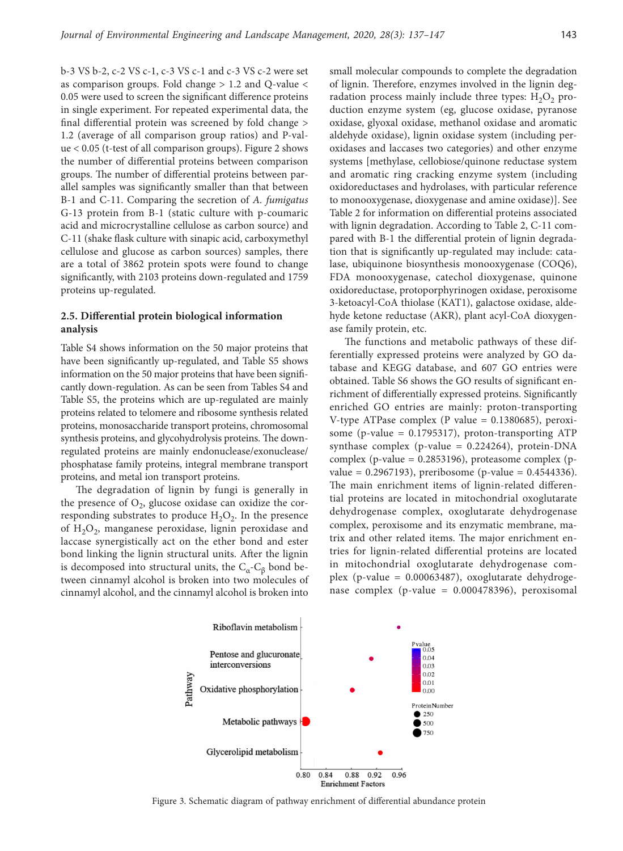b-3 VS b-2, c-2 VS c-1, c-3 VS c-1 and c-3 VS c-2 were set as comparison groups. Fold change > 1.2 and Q-value < 0.05 were used to screen the significant difference proteins in single experiment. For repeated experimental data, the final differential protein was screened by fold change > 1.2 (average of all comparison group ratios) and P-value < 0.05 (t-test of all comparison groups). Figure 2 shows the number of differential proteins between comparison groups. The number of differential proteins between parallel samples was significantly smaller than that between B-1 and C-11. Comparing the secretion of *A. fumigatus* G-13 protein from B-1 (static culture with p-coumaric acid and microcrystalline cellulose as carbon source) and C-11 (shake flask culture with sinapic acid, carboxymethyl cellulose and glucose as carbon sources) samples, there are a total of 3862 protein spots were found to change significantly, with 2103 proteins down-regulated and 1759 proteins up-regulated.

### **2.5. Differential protein biological information analysis**

Table S4 shows information on the 50 major proteins that have been significantly up-regulated, and Table S5 shows information on the 50 major proteins that have been significantly down-regulation. As can be seen from Tables S4 and Table S5, the proteins which are up-regulated are mainly proteins related to telomere and ribosome synthesis related proteins, monosaccharide transport proteins, chromosomal synthesis proteins, and glycohydrolysis proteins. The downregulated proteins are mainly endonuclease/exonuclease/ phosphatase family proteins, integral membrane transport proteins, and metal ion transport proteins.

The degradation of lignin by fungi is generally in the presence of  $O_2$ , glucose oxidase can oxidize the corresponding substrates to produce  $H_2O_2$ . In the presence of H<sub>2</sub>O<sub>2</sub>, manganese peroxidase, lignin peroxidase and laccase synergistically act on the ether bond and ester bond linking the lignin structural units. After the lignin is decomposed into structural units, the  $C_{\alpha}$ - $C_{\beta}$  bond between cinnamyl alcohol is broken into two molecules of cinnamyl alcohol, and the cinnamyl alcohol is broken into

small molecular compounds to complete the degradation of lignin. Therefore, enzymes involved in the lignin degradation process mainly include three types:  $H_2O_2$  production enzyme system (eg, glucose oxidase, pyranose oxidase, glyoxal oxidase, methanol oxidase and aromatic aldehyde oxidase), lignin oxidase system (including peroxidases and laccases two categories) and other enzyme systems [methylase, cellobiose/quinone reductase system and aromatic ring cracking enzyme system (including oxidoreductases and hydrolases, with particular reference to monooxygenase, dioxygenase and amine oxidase)]. See Table 2 for information on differential proteins associated with lignin degradation. According to Table 2, C-11 compared with B-1 the differential protein of lignin degradation that is significantly up-regulated may include: catalase, ubiquinone biosynthesis monooxygenase (COQ6), FDA monooxygenase, catechol dioxygenase, quinone oxidoreductase, protoporphyrinogen oxidase, peroxisome 3-ketoacyl-CoA thiolase (KAT1), galactose oxidase, aldehyde ketone reductase (AKR), plant acyl-CoA dioxygenase family protein, etc.

The functions and metabolic pathways of these differentially expressed proteins were analyzed by GO database and KEGG database, and 607 GO entries were obtained. Table S6 shows the GO results of significant enrichment of differentially expressed proteins. Significantly enriched GO entries are mainly: proton-transporting V-type ATPase complex (P value  $= 0.1380685$ ), peroxisome (p-value  $= 0.1795317$ ), proton-transporting ATP synthase complex (p-value = 0.224264), protein-DNA complex (p-value = 0.2853196), proteasome complex (p $value = 0.2967193$ , preribosome (p-value = 0.4544336). The main enrichment items of lignin-related differential proteins are located in mitochondrial oxoglutarate dehydrogenase complex, oxoglutarate dehydrogenase complex, peroxisome and its enzymatic membrane, matrix and other related items. The major enrichment entries for lignin-related differential proteins are located in mitochondrial oxoglutarate dehydrogenase complex (p-value = 0.00063487), oxoglutarate dehydrogenase complex (p-value = 0.000478396), peroxisomal



Figure 3. Schematic diagram of pathway enrichment of differential abundance protein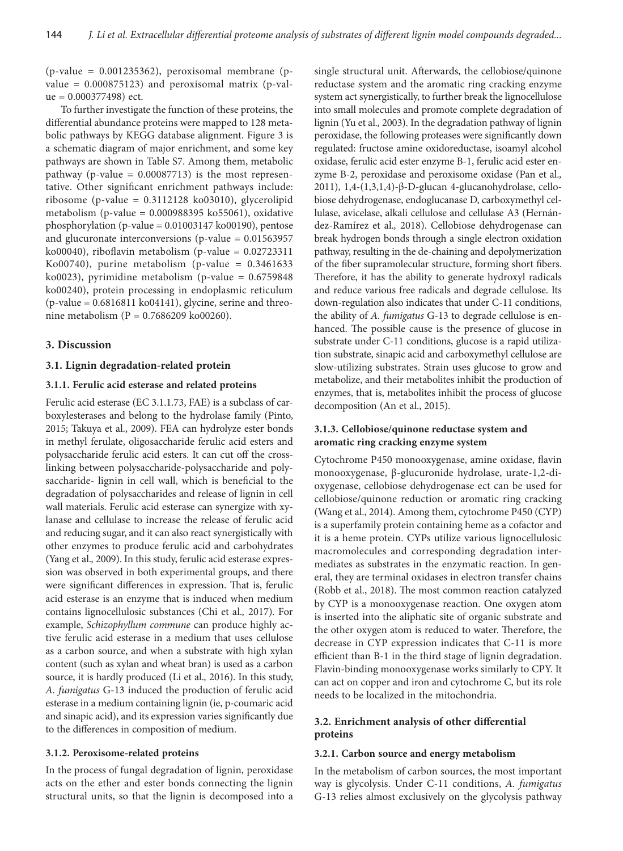$(p-value = 0.001235362)$ , peroxisomal membrane  $(p-p)$ value =  $0.000875123$ ) and peroxisomal matrix (p-val $ue = 0.000377498$ ) ect.

To further investigate the function of these proteins, the differential abundance proteins were mapped to 128 metabolic pathways by KEGG database alignment. Figure 3 is a schematic diagram of major enrichment, and some key pathways are shown in Table S7. Among them, metabolic pathway (p-value  $= 0.00087713$ ) is the most representative. Other significant enrichment pathways include: ribosome (p-value =  $0.3112128$  ko $03010$ ), glycerolipid metabolism (p-value = 0.000988395 ko55061), oxidative phosphorylation (p-value = 0.01003147 ko00190), pentose and glucuronate interconversions ( $p$ -value = 0.01563957 ko00040), riboflavin metabolism (p-value =  $0.02723311$ Ko00740), purine metabolism (p-value =  $0.3461633$ ko0023), pyrimidine metabolism (p-value =  $0.6759848$ ko00240), protein processing in endoplasmic reticulum  $(p$ -value =  $0.6816811$  ko $04141$ ), glycine, serine and threonine metabolism (P = 0.7686209 ko00260).

#### **3. Discussion**

#### **3.1. Lignin degradation-related protein**

### **3.1.1. Ferulic acid esterase and related proteins**

Ferulic acid esterase (EC 3.1.1.73, FAE) is a subclass of carboxylesterases and belong to the hydrolase family (Pinto, 2015; Takuya et al., 2009). FEA can hydrolyze ester bonds in methyl ferulate, oligosaccharide ferulic acid esters and polysaccharide ferulic acid esters. It can cut off the crosslinking between polysaccharide-polysaccharide and polysaccharide- lignin in cell wall, which is beneficial to the degradation of polysaccharides and release of lignin in cell wall materials. Ferulic acid esterase can synergize with xylanase and cellulase to increase the release of ferulic acid and reducing sugar, and it can also react synergistically with other enzymes to produce ferulic acid and carbohydrates (Yang et al.*,* 2009). In this study, ferulic acid esterase expression was observed in both experimental groups, and there were significant differences in expression. That is, ferulic acid esterase is an enzyme that is induced when medium contains lignocellulosic substances (Chi et al.*,* 2017). For example, *Schizophyllum commune* can produce highly active ferulic acid esterase in a medium that uses cellulose as a carbon source, and when a substrate with high xylan content (such as xylan and wheat bran) is used as a carbon source, it is hardly produced (Li et al.*,* 2016). In this study, *A. fumigatus* G-13 induced the production of ferulic acid esterase in a medium containing lignin (ie, p-coumaric acid and sinapic acid), and its expression varies significantly due to the differences in composition of medium.

### **3.1.2. Peroxisome-related proteins**

In the process of fungal degradation of lignin, peroxidase acts on the ether and ester bonds connecting the lignin structural units, so that the lignin is decomposed into a

single structural unit. Afterwards, the cellobiose/quinone reductase system and the aromatic ring cracking enzyme system act synergistically, to further break the lignocellulose into small molecules and promote complete degradation of lignin (Yu et al.*,* 2003). In the degradation pathway of lignin peroxidase, the following proteases were significantly down regulated: fructose amine oxidoreductase, isoamyl alcohol oxidase, ferulic acid ester enzyme B-1, ferulic acid ester enzyme B-2, peroxidase and peroxisome oxidase (Pan et al.*,*  2011), 1,4-(1,3,1,4)-β-D-glucan 4-glucanohydrolase, cellobiose dehydrogenase, endoglucanase D, carboxymethyl cellulase, avicelase, alkali cellulose and cellulase A3 (Hernández-Ramírez et al.*,* 2018). Cellobiose dehydrogenase can break hydrogen bonds through a single electron oxidation pathway, resulting in the de-chaining and depolymerization of the fiber supramolecular structure, forming short fibers. Therefore, it has the ability to generate hydroxyl radicals and reduce various free radicals and degrade cellulose. Its down-regulation also indicates that under C-11 conditions, the ability of *A. fumigatus* G-13 to degrade cellulose is enhanced. The possible cause is the presence of glucose in substrate under C-11 conditions, glucose is a rapid utilization substrate, sinapic acid and carboxymethyl cellulose are slow-utilizing substrates. Strain uses glucose to grow and metabolize, and their metabolites inhibit the production of enzymes, that is, metabolites inhibit the process of glucose decomposition (An et al., 2015).

# **3.1.3. Cellobiose/quinone reductase system and aromatic ring cracking enzyme system**

Cytochrome P450 monooxygenase, amine oxidase, flavin monooxygenase, β-glucuronide hydrolase, urate-1,2-dioxygenase, cellobiose dehydrogenase ect can be used for cellobiose/quinone reduction or aromatic ring cracking (Wang et al., 2014). Among them, cytochrome P450 (CYP) is a superfamily protein containing heme as a cofactor and it is a heme protein. CYPs utilize various lignocellulosic macromolecules and corresponding degradation intermediates as substrates in the enzymatic reaction. In general, they are terminal oxidases in electron transfer chains (Robb et al., 2018). The most common reaction catalyzed by CYP is a monooxygenase reaction. One oxygen atom is inserted into the aliphatic site of organic substrate and the other oxygen atom is reduced to water. Therefore, the decrease in CYP expression indicates that C-11 is more efficient than B-1 in the third stage of lignin degradation. Flavin-binding monooxygenase works similarly to CPY. It can act on copper and iron and cytochrome C, but its role needs to be localized in the mitochondria.

# **3.2. Enrichment analysis of other differential proteins**

#### **3.2.1. Carbon source and energy metabolism**

In the metabolism of carbon sources, the most important way is glycolysis. Under C-11 conditions, *A. fumigatus* G-13 relies almost exclusively on the glycolysis pathway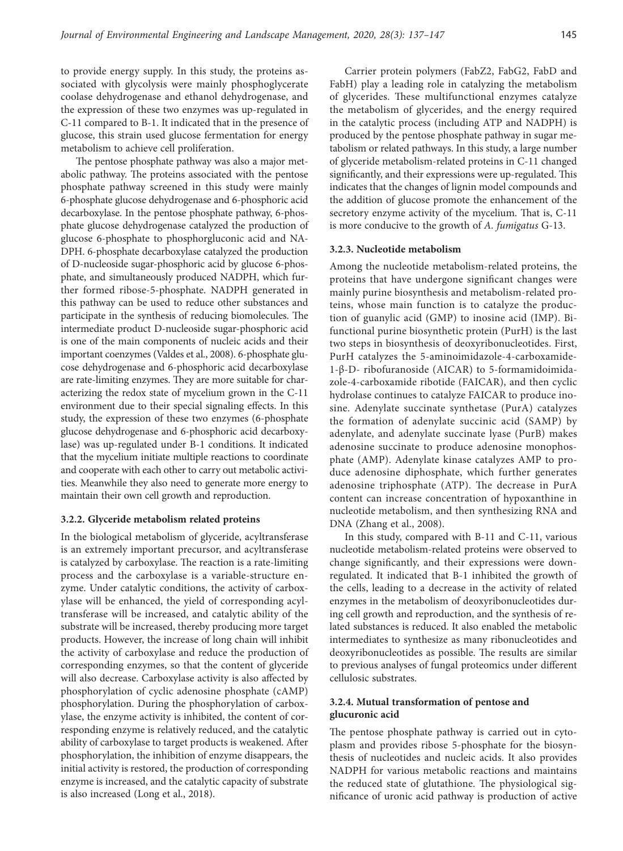to provide energy supply. In this study, the proteins associated with glycolysis were mainly phosphoglycerate coolase dehydrogenase and ethanol dehydrogenase, and the expression of these two enzymes was up-regulated in C-11 compared to B-1. It indicated that in the presence of glucose, this strain used glucose fermentation for energy metabolism to achieve cell proliferation.

The pentose phosphate pathway was also a major metabolic pathway. The proteins associated with the pentose phosphate pathway screened in this study were mainly 6-phosphate glucose dehydrogenase and 6-phosphoric acid decarboxylase. In the pentose phosphate pathway, 6-phosphate glucose dehydrogenase catalyzed the production of glucose 6-phosphate to phosphorgluconic acid and NA-DPH. 6-phosphate decarboxylase catalyzed the production of D-nucleoside sugar-phosphoric acid by glucose 6-phosphate, and simultaneously produced NADPH, which further formed ribose-5-phosphate. NADPH generated in this pathway can be used to reduce other substances and participate in the synthesis of reducing biomolecules. The intermediate product D-nucleoside sugar-phosphoric acid is one of the main components of nucleic acids and their important coenzymes (Valdes et al., 2008). 6-phosphate glucose dehydrogenase and 6-phosphoric acid decarboxylase are rate-limiting enzymes. They are more suitable for characterizing the redox state of mycelium grown in the C-11 environment due to their special signaling effects. In this study, the expression of these two enzymes (6-phosphate glucose dehydrogenase and 6-phosphoric acid decarboxylase) was up-regulated under B-1 conditions. It indicated that the mycelium initiate multiple reactions to coordinate and cooperate with each other to carry out metabolic activities. Meanwhile they also need to generate more energy to maintain their own cell growth and reproduction.

#### **3.2.2. Glyceride metabolism related proteins**

In the biological metabolism of glyceride, acyltransferase is an extremely important precursor, and acyltransferase is catalyzed by carboxylase. The reaction is a rate-limiting process and the carboxylase is a variable-structure enzyme. Under catalytic conditions, the activity of carboxylase will be enhanced, the yield of corresponding acyltransferase will be increased, and catalytic ability of the substrate will be increased, thereby producing more target products. However, the increase of long chain will inhibit the activity of carboxylase and reduce the production of corresponding enzymes, so that the content of glyceride will also decrease. Carboxylase activity is also affected by phosphorylation of cyclic adenosine phosphate (cAMP) phosphorylation. During the phosphorylation of carboxylase, the enzyme activity is inhibited, the content of corresponding enzyme is relatively reduced, and the catalytic ability of carboxylase to target products is weakened. After phosphorylation, the inhibition of enzyme disappears, the initial activity is restored, the production of corresponding enzyme is increased, and the catalytic capacity of substrate is also increased (Long et al., 2018).

Carrier protein polymers (FabZ2, FabG2, FabD and FabH) play a leading role in catalyzing the metabolism of glycerides. These multifunctional enzymes catalyze the metabolism of glycerides, and the energy required in the catalytic process (including ATP and NADPH) is produced by the pentose phosphate pathway in sugar metabolism or related pathways. In this study, a large number of glyceride metabolism-related proteins in C-11 changed significantly, and their expressions were up-regulated. This indicates that the changes of lignin model compounds and the addition of glucose promote the enhancement of the secretory enzyme activity of the mycelium. That is, C-11 is more conducive to the growth of *A. fumigatus* G-13.

#### **3.2.3. Nucleotide metabolism**

Among the nucleotide metabolism-related proteins, the proteins that have undergone significant changes were mainly purine biosynthesis and metabolism-related proteins, whose main function is to catalyze the production of guanylic acid (GMP) to inosine acid (IMP). Bifunctional purine biosynthetic protein (PurH) is the last two steps in biosynthesis of deoxyribonucleotides. First, PurH catalyzes the 5-aminoimidazole-4-carboxamide-1-β-D- ribofuranoside (AICAR) to 5-formamidoimidazole-4-carboxamide ribotide (FAICAR), and then cyclic hydrolase continues to catalyze FAICAR to produce inosine. Adenylate succinate synthetase (PurA) catalyzes the formation of adenylate succinic acid (SAMP) by adenylate, and adenylate succinate lyase (PurB) makes adenosine succinate to produce adenosine monophosphate (AMP). Adenylate kinase catalyzes AMP to produce adenosine diphosphate, which further generates adenosine triphosphate (ATP). The decrease in PurA content can increase concentration of hypoxanthine in nucleotide metabolism, and then synthesizing RNA and DNA (Zhang et al., 2008).

In this study, compared with B-11 and C-11, various nucleotide metabolism-related proteins were observed to change significantly, and their expressions were downregulated. It indicated that B-1 inhibited the growth of the cells, leading to a decrease in the activity of related enzymes in the metabolism of deoxyribonucleotides during cell growth and reproduction, and the synthesis of related substances is reduced. It also enabled the metabolic intermediates to synthesize as many ribonucleotides and deoxyribonucleotides as possible. The results are similar to previous analyses of fungal proteomics under different cellulosic substrates.

# **3.2.4. Mutual transformation of pentose and glucuronic acid**

The pentose phosphate pathway is carried out in cytoplasm and provides ribose 5-phosphate for the biosynthesis of nucleotides and nucleic acids. It also provides NADPH for various metabolic reactions and maintains the reduced state of glutathione. The physiological significance of uronic acid pathway is production of active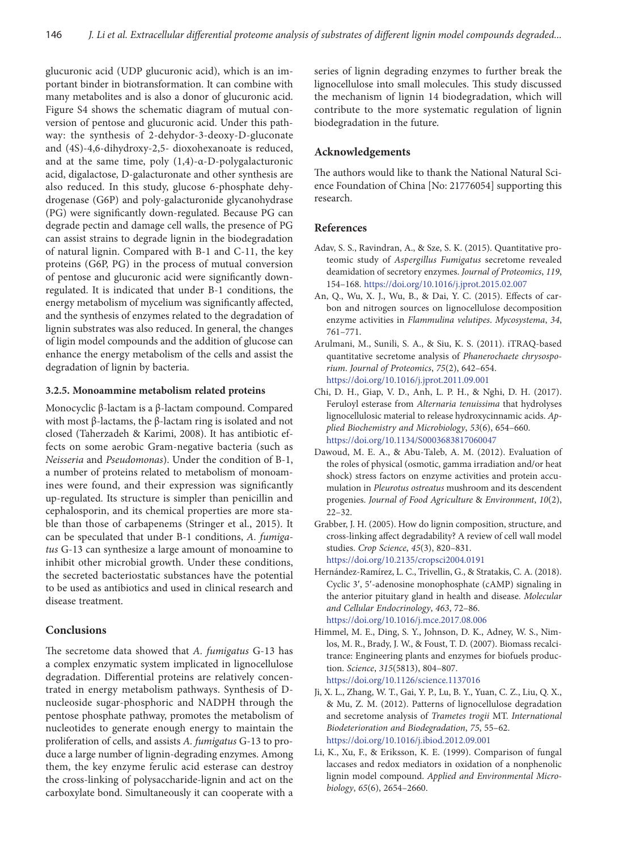glucuronic acid (UDP glucuronic acid), which is an important binder in biotransformation. It can combine with many metabolites and is also a donor of glucuronic acid. Figure S4 shows the schematic diagram of mutual conversion of pentose and glucuronic acid. Under this pathway: the synthesis of 2-dehydor-3-deoxy-D-gluconate and (4S)-4,6-dihydroxy-2,5- dioxohexanoate is reduced, and at the same time, poly (1,4)-α-D-polygalacturonic acid, digalactose, D-galacturonate and other synthesis are also reduced. In this study, glucose 6-phosphate dehydrogenase (G6P) and poly-galacturonide glycanohydrase (PG) were significantly down-regulated. Because PG can degrade pectin and damage cell walls, the presence of PG can assist strains to degrade lignin in the biodegradation of natural lignin. Compared with B-1 and C-11, the key proteins (G6P, PG) in the process of mutual conversion of pentose and glucuronic acid were significantly downregulated. It is indicated that under B-1 conditions, the energy metabolism of mycelium was significantly affected, and the synthesis of enzymes related to the degradation of lignin substrates was also reduced. In general, the changes of ligin model compounds and the addition of glucose can enhance the energy metabolism of the cells and assist the degradation of lignin by bacteria.

### **3.2.5. Monoammine metabolism related proteins**

Monocyclic β-lactam is a β-lactam compound. Compared with most β-lactams, the β-lactam ring is isolated and not closed (Taherzadeh & Karimi, 2008). It has antibiotic effects on some aerobic Gram-negative bacteria (such as *Neisseria* and *Pseudomonas*). Under the condition of B-1, a number of proteins related to metabolism of monoamines were found, and their expression was significantly up-regulated. Its structure is simpler than penicillin and cephalosporin, and its chemical properties are more stable than those of carbapenems (Stringer et al., 2015). It can be speculated that under B-1 conditions, *A. fumigatus* G-13 can synthesize a large amount of monoamine to inhibit other microbial growth. Under these conditions, the secreted bacteriostatic substances have the potential to be used as antibiotics and used in clinical research and disease treatment.

### **Conclusions**

The secretome data showed that *A. fumigatus* G-13 has a complex enzymatic system implicated in lignocellulose degradation. Differential proteins are relatively concentrated in energy metabolism pathways. Synthesis of Dnucleoside sugar-phosphoric and NADPH through the pentose phosphate pathway, promotes the metabolism of nucleotides to generate enough energy to maintain the proliferation of cells, and assists *A. fumigatus* G-13 to produce a large number of lignin-degrading enzymes. Among them, the key enzyme ferulic acid esterase can destroy the cross-linking of polysaccharide-lignin and act on the carboxylate bond. Simultaneously it can cooperate with a

series of lignin degrading enzymes to further break the lignocellulose into small molecules. This study discussed the mechanism of lignin 14 biodegradation, which will contribute to the more systematic regulation of lignin biodegradation in the future.

### **Acknowledgements**

The authors would like to thank the National Natural Science Foundation of China [No: 21776054] supporting this research.

# **References**

- Adav, S. S., Ravindran, A., & Sze, S. K. (2015). Quantitative proteomic study of *Aspergillus Fumigatus* secretome revealed deamidation of secretory enzymes. *Journal of Proteomics*, *119*, 154–168. <https://doi.org/10.1016/j.jprot.2015.02.007>
- An, Q., Wu, X. J., Wu, B., & Dai, Y. C. (2015). Effects of carbon and nitrogen sources on lignocellulose decomposition enzyme activities in *Flammulina velutipes*. *Mycosystema*, *34*, 761–771.
- Arulmani, M., Sunili, S. A., & Siu, K. S. (2011). iTRAQ-based quantitative secretome analysis of *Phanerochaete chrysosporium*. *Journal of Proteomics*, *75*(2), 642–654. <https://doi.org/10.1016/j.jprot.2011.09.001>
- Chi, D. H., Giap, V. D., Anh, L. P. H., & Nghi, D. H. (2017). Feruloyl esterase from *Alternaria tenuissima* that hydrolyses lignocellulosic material to release hydroxycinnamic acids. *Applied Biochemistry and Microbiology*, *53*(6), 654–660. https://doi.org/10.1134/S0003683817060047
- Dawoud, M. E. A., & Abu-Taleb, A. M. (2012). Evaluation of the roles of physical (osmotic, gamma irradiation and/or heat shock) stress factors on enzyme activities and protein accumulation in *Pleurotus ostreatus* mushroom and its descendent progenies. *Journal of Food Agriculture* & *Environment*, *10*(2), 22–32.
- Grabber, J. H. (2005). How do lignin composition, structure, and cross-linking affect degradability? A review of cell wall model studies. *Crop Science*, *45*(3), 820–831. <https://doi.org/10.2135/cropsci2004.0191>
- Hernández-Ramírez, L. C., Trivellin, G., & Stratakis, C. A. (2018). Cyclic 3′, 5′-adenosine monophosphate (cAMP) signaling in the anterior pituitary gland in health and disease. *Molecular and Cellular Endocrinology*, *463*, 72–86. <https://doi.org/10.1016/j.mce.2017.08.006>
- Himmel, M. E., Ding, S. Y., Johnson, D. K., Adney, W. S., Nimlos, M. R., Brady, J. W., & Foust, T. D. (2007). Biomass recalcitrance: Engineering plants and enzymes for biofuels production. *Science*, *315*(5813), 804–807. <https://doi.org/10.1126/science.1137016>
- Ji, X. L., Zhang, W. T., Gai, Y. P., Lu, B. Y., Yuan, C. Z., Liu, Q. X., & Mu, Z. M. (2012). Patterns of lignocellulose degradation and secretome analysis of *Trametes trogii* MT. *International Biodeterioration and Biodegradation*, *75*, 55–62. <https://doi.org/10.1016/j.ibiod.2012.09.001>
- Li, K., Xu, F., & Eriksson, K. E. (1999). Comparison of fungal laccases and redox mediators in oxidation of a nonphenolic lignin model compound. *Applied and Environmental Microbiology*, *65*(6), 2654–2660.